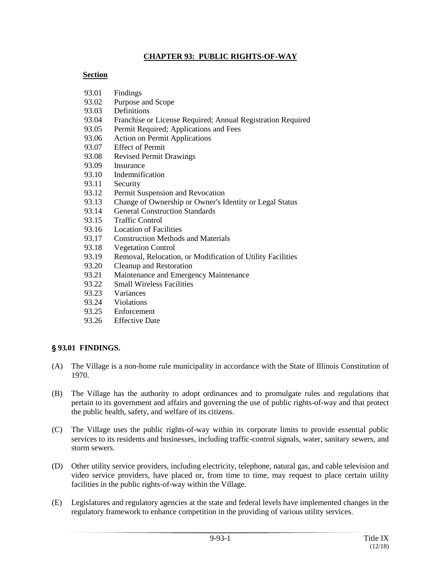#### **CHAPTER 93: PUBLIC RIGHTS-OF-WAY**

#### **Section**

- 93.01 Findings
- 93.02 Purpose and Scope
- 93.03 Definitions
- 93.04 Franchise or License Required; Annual Registration Required
- 93.05 Permit Required; Applications and Fees
- 93.06 Action on Permit Applications
- 93.07 Effect of Permit
- 93.08 Revised Permit Drawings
- 93.09 Insurance
- 93.10 Indemnification
- 93.11 Security
- 93.12 Permit Suspension and Revocation
- 93.13 Change of Ownership or Owner's Identity or Legal Status
- 93.14 General Construction Standards
- 93.15 Traffic Control
- 93.16 Location of Facilities
- 93.17 Construction Methods and Materials
- 93.18 Vegetation Control
- 93.19 Removal, Relocation, or Modification of Utility Facilities
- 93.20 Cleanup and Restoration
- 93.21 Maintenance and Emergency Maintenance
- 93.22 Small Wireless Facilities
- 93.23 Variances
- 93.24 Violations
- 93.25 Enforcement
- 93.26 Effective Date

## ' **93.01 FINDINGS.**

- (A) The Village is a non-home rule municipality in accordance with the State of Illinois Constitution of 1970.
- (B) The Village has the authority to adopt ordinances and to promulgate rules and regulations that pertain to its government and affairs and governing the use of public rights-of-way and that protect the public health, safety, and welfare of its citizens.
- (C) The Village uses the public rights-of-way within its corporate limits to provide essential public services to its residents and businesses, including traffic-control signals, water, sanitary sewers, and storm sewers.
- (D) Other utility service providers, including electricity, telephone, natural gas, and cable television and video service providers, have placed or, from time to time, may request to place certain utility facilities in the public rights-of-way within the Village.
- (E) Legislatures and regulatory agencies at the state and federal levels have implemented changes in the regulatory framework to enhance competition in the providing of various utility services.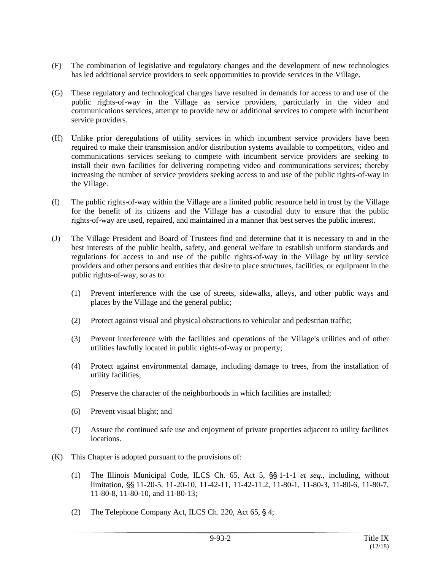- (F) The combination of legislative and regulatory changes and the development of new technologies has led additional service providers to seek opportunities to provide services in the Village.
- (G) These regulatory and technological changes have resulted in demands for access to and use of the public rights-of-way in the Village as service providers, particularly in the video and communications services, attempt to provide new or additional services to compete with incumbent service providers.
- (H) Unlike prior deregulations of utility services in which incumbent service providers have been required to make their transmission and/or distribution systems available to competitors, video and communications services seeking to compete with incumbent service providers are seeking to install their own facilities for delivering competing video and communications services; thereby increasing the number of service providers seeking access to and use of the public rights-of-way in the Village.
- (I) The public rights-of-way within the Village are a limited public resource held in trust by the Village for the benefit of its citizens and the Village has a custodial duty to ensure that the public rights-of-way are used, repaired, and maintained in a manner that best serves the public interest.
- (J) The Village President and Board of Trustees find and determine that it is necessary to and in the best interests of the public health, safety, and general welfare to establish uniform standards and regulations for access to and use of the public rights-of-way in the Village by utility service providers and other persons and entities that desire to place structures, facilities, or equipment in the public rights-of-way, so as to:
	- (1) Prevent interference with the use of streets, sidewalks, alleys, and other public ways and places by the Village and the general public;
	- (2) Protect against visual and physical obstructions to vehicular and pedestrian traffic;
	- (3) Prevent interference with the facilities and operations of the Village's utilities and of other utilities lawfully located in public rights-of-way or property;
	- (4) Protect against environmental damage, including damage to trees, from the installation of utility facilities;
	- (5) Preserve the character of the neighborhoods in which facilities are installed;
	- (6) Prevent visual blight; and
	- (7) Assure the continued safe use and enjoyment of private properties adjacent to utility facilities locations.
- (K) This Chapter is adopted pursuant to the provisions of:
	- (1) The Illinois Municipal Code, ILCS Ch.  $65$ , Act 5,  $\frac{65}{5}$  1-1-1 *et seq.*, including, without limitation, §§ 11-20-5, 11-20-10, 11-42-11, 11-42-11.2, 11-80-1, 11-80-3, 11-80-6, 11-80-7, 11-80-8, 11-80-10, and 11-80-13;
	- (2) The Telephone Company Act, ILCS Ch. 220, Act  $65, \S 4$ ;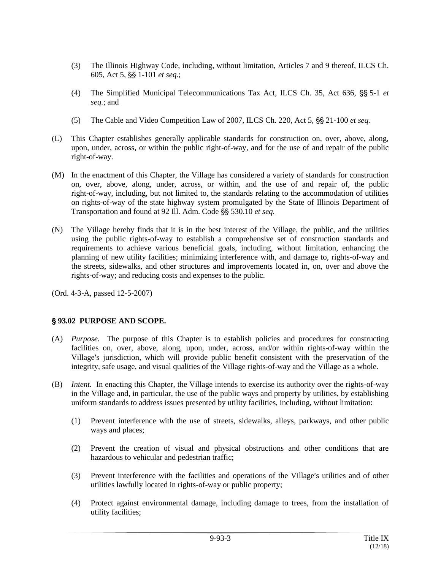- (3) The Illinois Highway Code, including, without limitation, Articles 7 and 9 thereof, ILCS Ch. 605, Act 5, §§ 1-101 *et seq.*;
- (4) The Simplified Municipal Telecommunications Tax Act, ILCS Ch. 35, Act 636, §§ 5-1 *et seq.*; and
- (5) The Cable and Video Competition Law of 2007, ILCS Ch. 220, Act 5,  $\frac{66}{5}$  21-100 *et seq.*
- (L) This Chapter establishes generally applicable standards for construction on, over, above, along, upon, under, across, or within the public right-of-way, and for the use of and repair of the public right-of-way.
- (M) In the enactment of this Chapter, the Village has considered a variety of standards for construction on, over, above, along, under, across, or within, and the use of and repair of, the public right-of-way, including, but not limited to, the standards relating to the accommodation of utilities on rights-of-way of the state highway system promulgated by the State of Illinois Department of Transportation and found at 92 Ill. Adm. Code §§ 530.10 *et seq.*
- (N) The Village hereby finds that it is in the best interest of the Village, the public, and the utilities using the public rights-of-way to establish a comprehensive set of construction standards and requirements to achieve various beneficial goals, including, without limitation, enhancing the planning of new utility facilities; minimizing interference with, and damage to, rights-of-way and the streets, sidewalks, and other structures and improvements located in, on, over and above the rights-of-way; and reducing costs and expenses to the public.

## ' **93.02 PURPOSE AND SCOPE.**

- (A) *Purpose.* The purpose of this Chapter is to establish policies and procedures for constructing facilities on, over, above, along, upon, under, across, and/or within rights-of-way within the Village's jurisdiction, which will provide public benefit consistent with the preservation of the integrity, safe usage, and visual qualities of the Village rights-of-way and the Village as a whole.
- (B) *Intent.* In enacting this Chapter, the Village intends to exercise its authority over the rights-of-way in the Village and, in particular, the use of the public ways and property by utilities, by establishing uniform standards to address issues presented by utility facilities, including, without limitation:
	- (1) Prevent interference with the use of streets, sidewalks, alleys, parkways, and other public ways and places;
	- (2) Prevent the creation of visual and physical obstructions and other conditions that are hazardous to vehicular and pedestrian traffic;
	- (3) Prevent interference with the facilities and operations of the Village's utilities and of other utilities lawfully located in rights-of-way or public property;
	- (4) Protect against environmental damage, including damage to trees, from the installation of utility facilities;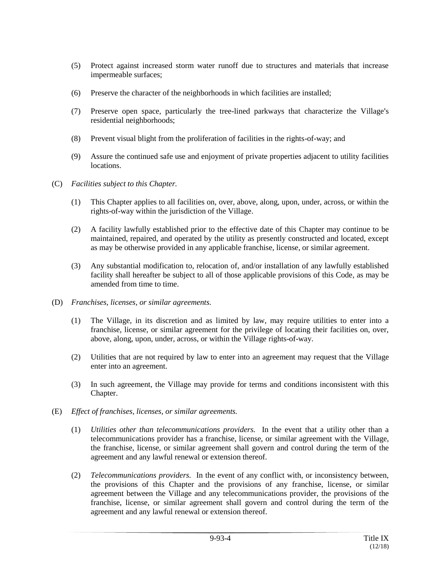- (5) Protect against increased storm water runoff due to structures and materials that increase impermeable surfaces;
- (6) Preserve the character of the neighborhoods in which facilities are installed;
- (7) Preserve open space, particularly the tree-lined parkways that characterize the Village's residential neighborhoods;
- (8) Prevent visual blight from the proliferation of facilities in the rights-of-way; and
- (9) Assure the continued safe use and enjoyment of private properties adjacent to utility facilities locations.
- (C) *Facilities subject to this Chapter.*
	- (1) This Chapter applies to all facilities on, over, above, along, upon, under, across, or within the rights-of-way within the jurisdiction of the Village.
	- (2) A facility lawfully established prior to the effective date of this Chapter may continue to be maintained, repaired, and operated by the utility as presently constructed and located, except as may be otherwise provided in any applicable franchise, license, or similar agreement.
	- (3) Any substantial modification to, relocation of, and/or installation of any lawfully established facility shall hereafter be subject to all of those applicable provisions of this Code, as may be amended from time to time.
- (D) *Franchises, licenses, or similar agreements.*
	- (1) The Village, in its discretion and as limited by law, may require utilities to enter into a franchise, license, or similar agreement for the privilege of locating their facilities on, over, above, along, upon, under, across, or within the Village rights-of-way.
	- (2) Utilities that are not required by law to enter into an agreement may request that the Village enter into an agreement.
	- (3) In such agreement, the Village may provide for terms and conditions inconsistent with this Chapter.
- (E) *Effect of franchises, licenses, or similar agreements.*
	- (1) *Utilities other than telecommunications providers.* In the event that a utility other than a telecommunications provider has a franchise, license, or similar agreement with the Village, the franchise, license, or similar agreement shall govern and control during the term of the agreement and any lawful renewal or extension thereof.
	- (2) *Telecommunications providers.* In the event of any conflict with, or inconsistency between, the provisions of this Chapter and the provisions of any franchise, license, or similar agreement between the Village and any telecommunications provider, the provisions of the franchise, license, or similar agreement shall govern and control during the term of the agreement and any lawful renewal or extension thereof.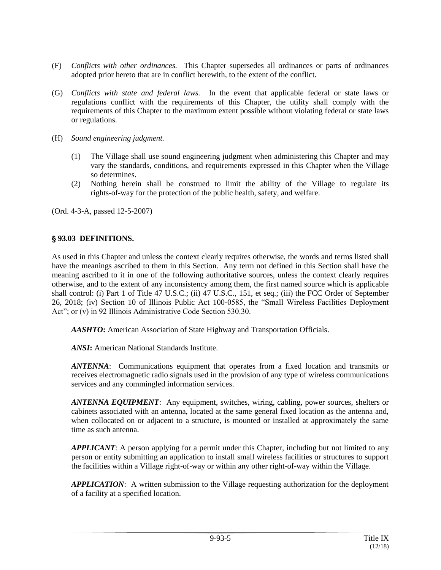- (F) *Conflicts with other ordinances.* This Chapter supersedes all ordinances or parts of ordinances adopted prior hereto that are in conflict herewith, to the extent of the conflict.
- (G) *Conflicts with state and federal laws.* In the event that applicable federal or state laws or regulations conflict with the requirements of this Chapter, the utility shall comply with the requirements of this Chapter to the maximum extent possible without violating federal or state laws or regulations.
- (H) *Sound engineering judgment.*
	- (1) The Village shall use sound engineering judgment when administering this Chapter and may vary the standards, conditions, and requirements expressed in this Chapter when the Village so determines.
	- (2) Nothing herein shall be construed to limit the ability of the Village to regulate its rights-of-way for the protection of the public health, safety, and welfare.

#### ' **93.03 DEFINITIONS.**

As used in this Chapter and unless the context clearly requires otherwise, the words and terms listed shall have the meanings ascribed to them in this Section. Any term not defined in this Section shall have the meaning ascribed to it in one of the following authoritative sources, unless the context clearly requires otherwise, and to the extent of any inconsistency among them, the first named source which is applicable shall control: (i) Part 1 of Title 47 U.S.C.; (ii) 47 U.S.C., 151, et seq.; (iii) the FCC Order of September 26, 2018; (iv) Section 10 of Illinois Public Act 100-0585, the "Small Wireless Facilities Deployment Act"; or (v) in 92 Illinois Administrative Code Section 530.30.

*AASHTO***:** American Association of State Highway and Transportation Officials.

*ANSI***:** American National Standards Institute.

*ANTENNA*: Communications equipment that operates from a fixed location and transmits or receives electromagnetic radio signals used in the provision of any type of wireless communications services and any commingled information services.

*ANTENNA EQUIPMENT*: Any equipment, switches, wiring, cabling, power sources, shelters or cabinets associated with an antenna, located at the same general fixed location as the antenna and, when collocated on or adjacent to a structure, is mounted or installed at approximately the same time as such antenna.

*APPLICANT*: A person applying for a permit under this Chapter, including but not limited to any person or entity submitting an application to install small wireless facilities or structures to support the facilities within a Village right-of-way or within any other right-of-way within the Village.

*APPLICATION*: A written submission to the Village requesting authorization for the deployment of a facility at a specified location.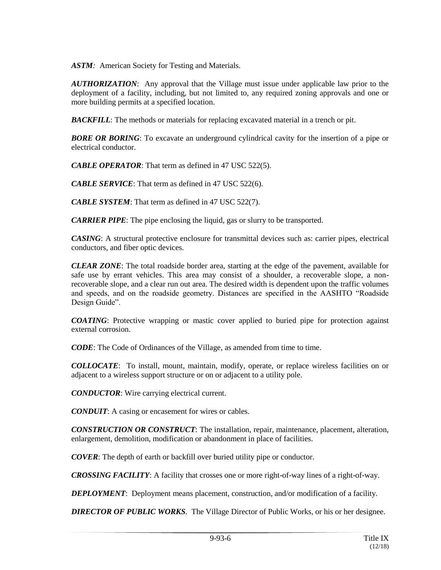*ASTM:* American Society for Testing and Materials.

*AUTHORIZATION*: Any approval that the Village must issue under applicable law prior to the deployment of a facility, including, but not limited to, any required zoning approvals and one or more building permits at a specified location.

*BACKFILL*: The methods or materials for replacing excavated material in a trench or pit.

**BORE OR BORING**: To excavate an underground cylindrical cavity for the insertion of a pipe or electrical conductor.

*CABLE OPERATOR*: That term as defined in 47 USC 522(5).

*CABLE SERVICE*: That term as defined in 47 USC 522(6).

*CABLE SYSTEM*: That term as defined in 47 USC 522(7).

*CARRIER PIPE*: The pipe enclosing the liquid, gas or slurry to be transported.

*CASING*: A structural protective enclosure for transmittal devices such as: carrier pipes, electrical conductors, and fiber optic devices.

*CLEAR ZONE*: The total roadside border area, starting at the edge of the pavement, available for safe use by errant vehicles. This area may consist of a shoulder, a recoverable slope, a nonrecoverable slope, and a clear run out area. The desired width is dependent upon the traffic volumes and speeds, and on the roadside geometry. Distances are specified in the AASHTO "Roadside Design Guide".

*COATING*: Protective wrapping or mastic cover applied to buried pipe for protection against external corrosion.

*CODE*: The Code of Ordinances of the Village, as amended from time to time.

*COLLOCATE*: To install, mount, maintain, modify, operate, or replace wireless facilities on or adjacent to a wireless support structure or on or adjacent to a utility pole.

*CONDUCTOR*: Wire carrying electrical current.

*CONDUIT*: A casing or encasement for wires or cables.

*CONSTRUCTION OR CONSTRUCT*: The installation, repair, maintenance, placement, alteration, enlargement, demolition, modification or abandonment in place of facilities.

*COVER*: The depth of earth or backfill over buried utility pipe or conductor.

*CROSSING FACILITY*: A facility that crosses one or more right-of-way lines of a right-of-way.

*DEPLOYMENT*: Deployment means placement, construction, and/or modification of a facility.

*DIRECTOR OF PUBLIC WORKS.* The Village Director of Public Works, or his or her designee.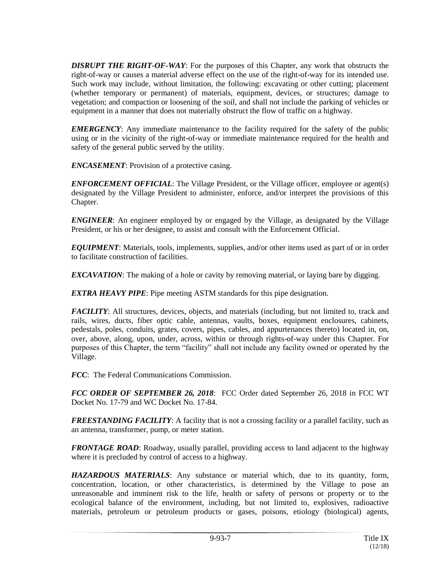*DISRUPT THE RIGHT-OF-WAY*: For the purposes of this Chapter, any work that obstructs the right-of-way or causes a material adverse effect on the use of the right-of-way for its intended use. Such work may include, without limitation, the following: excavating or other cutting; placement (whether temporary or permanent) of materials, equipment, devices, or structures; damage to vegetation; and compaction or loosening of the soil, and shall not include the parking of vehicles or equipment in a manner that does not materially obstruct the flow of traffic on a highway.

*EMERGENCY*: Any immediate maintenance to the facility required for the safety of the public using or in the vicinity of the right-of-way or immediate maintenance required for the health and safety of the general public served by the utility.

*ENCASEMENT*: Provision of a protective casing.

*ENFORCEMENT OFFICIAL*: The Village President, or the Village officer, employee or agent(s) designated by the Village President to administer, enforce, and/or interpret the provisions of this Chapter.

*ENGINEER*: An engineer employed by or engaged by the Village, as designated by the Village President, or his or her designee, to assist and consult with the Enforcement Official.

*EQUIPMENT*: Materials, tools, implements, supplies, and/or other items used as part of or in order to facilitate construction of facilities.

*EXCAVATION*: The making of a hole or cavity by removing material, or laying bare by digging.

*EXTRA HEAVY PIPE*: Pipe meeting ASTM standards for this pipe designation.

*FACILITY*: All structures, devices, objects, and materials (including, but not limited to, track and rails, wires, ducts, fiber optic cable, antennas, vaults, boxes, equipment enclosures, cabinets, pedestals, poles, conduits, grates, covers, pipes, cables, and appurtenances thereto) located in, on, over, above, along, upon, under, across, within or through rights-of-way under this Chapter. For purposes of this Chapter, the term "facility" shall not include any facility owned or operated by the Village.

*FCC*: The Federal Communications Commission.

*FCC ORDER OF SEPTEMBER 26, 2018*: FCC Order dated September 26, 2018 in FCC WT Docket No. 17-79 and WC Docket No. 17-84.

*FREESTANDING FACILITY:* A facility that is not a crossing facility or a parallel facility, such as an antenna, transformer, pump, or meter station.

*FRONTAGE ROAD*: Roadway, usually parallel, providing access to land adjacent to the highway where it is precluded by control of access to a highway.

*HAZARDOUS MATERIALS*: Any substance or material which, due to its quantity, form, concentration, location, or other characteristics, is determined by the Village to pose an unreasonable and imminent risk to the life, health or safety of persons or property or to the ecological balance of the environment, including, but not limited to, explosives, radioactive materials, petroleum or petroleum products or gases, poisons, etiology (biological) agents,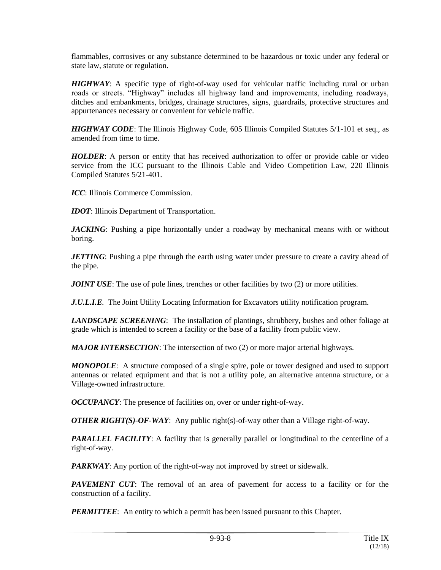flammables, corrosives or any substance determined to be hazardous or toxic under any federal or state law, statute or regulation.

*HIGHWAY*: A specific type of right-of-way used for vehicular traffic including rural or urban roads or streets. "Highway" includes all highway land and improvements, including roadways, ditches and embankments, bridges, drainage structures, signs, guardrails, protective structures and appurtenances necessary or convenient for vehicle traffic.

*HIGHWAY CODE*: The Illinois Highway Code, 605 Illinois Compiled Statutes 5/1-101 et seq., as amended from time to time.

*HOLDER*: A person or entity that has received authorization to offer or provide cable or video service from the ICC pursuant to the Illinois Cable and Video Competition Law, 220 Illinois Compiled Statutes 5/21-401.

*ICC*: Illinois Commerce Commission.

*IDOT*: Illinois Department of Transportation.

*JACKING*: Pushing a pipe horizontally under a roadway by mechanical means with or without boring.

*JETTING*: Pushing a pipe through the earth using water under pressure to create a cavity ahead of the pipe.

*JOINT USE*: The use of pole lines, trenches or other facilities by two (2) or more utilities.

*J.U.L.I.E.* The Joint Utility Locating Information for Excavators utility notification program.

*LANDSCAPE SCREENING*: The installation of plantings, shrubbery, bushes and other foliage at grade which is intended to screen a facility or the base of a facility from public view.

*MAJOR INTERSECTION*: The intersection of two (2) or more major arterial highways.

*MONOPOLE*: A structure composed of a single spire, pole or tower designed and used to support antennas or related equipment and that is not a utility pole, an alternative antenna structure, or a Village-owned infrastructure.

*OCCUPANCY*: The presence of facilities on, over or under right-of-way.

*OTHER RIGHT(S)-OF-WAY:* Any public right(s)-of-way other than a Village right-of-way.

**PARALLEL FACILITY:** A facility that is generally parallel or longitudinal to the centerline of a right-of-way.

*PARKWAY*: Any portion of the right-of-way not improved by street or sidewalk.

*PAVEMENT CUT*: The removal of an area of pavement for access to a facility or for the construction of a facility.

*PERMITTEE*: An entity to which a permit has been issued pursuant to this Chapter.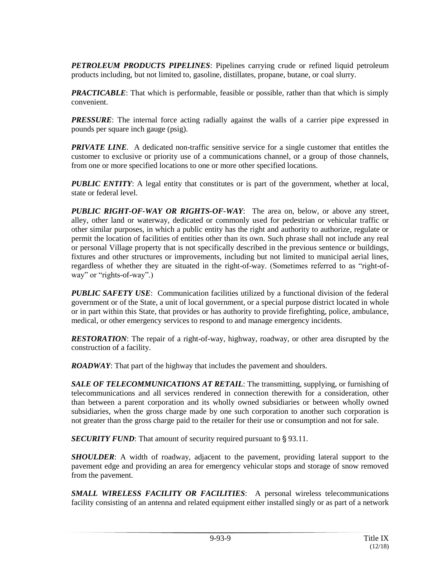*PETROLEUM PRODUCTS PIPELINES*: Pipelines carrying crude or refined liquid petroleum products including, but not limited to, gasoline, distillates, propane, butane, or coal slurry.

*PRACTICABLE*: That which is performable, feasible or possible, rather than that which is simply convenient.

*PRESSURE*: The internal force acting radially against the walls of a carrier pipe expressed in pounds per square inch gauge (psig).

*PRIVATE LINE.* A dedicated non-traffic sensitive service for a single customer that entitles the customer to exclusive or priority use of a communications channel, or a group of those channels, from one or more specified locations to one or more other specified locations.

*PUBLIC ENTITY*: A legal entity that constitutes or is part of the government, whether at local, state or federal level.

*PUBLIC RIGHT-OF-WAY OR RIGHTS-OF-WAY*: The area on, below, or above any street, alley, other land or waterway, dedicated or commonly used for pedestrian or vehicular traffic or other similar purposes, in which a public entity has the right and authority to authorize, regulate or permit the location of facilities of entities other than its own. Such phrase shall not include any real or personal Village property that is not specifically described in the previous sentence or buildings, fixtures and other structures or improvements, including but not limited to municipal aerial lines, regardless of whether they are situated in the right-of-way. (Sometimes referred to as "right-ofway" or "rights-of-way".)

**PUBLIC SAFETY USE:** Communication facilities utilized by a functional division of the federal government or of the State, a unit of local government, or a special purpose district located in whole or in part within this State, that provides or has authority to provide firefighting, police, ambulance, medical, or other emergency services to respond to and manage emergency incidents.

*RESTORATION*: The repair of a right-of-way, highway, roadway, or other area disrupted by the construction of a facility.

*ROADWAY*: That part of the highway that includes the pavement and shoulders.

*SALE OF TELECOMMUNICATIONS AT RETAIL*: The transmitting, supplying, or furnishing of telecommunications and all services rendered in connection therewith for a consideration, other than between a parent corporation and its wholly owned subsidiaries or between wholly owned subsidiaries, when the gross charge made by one such corporation to another such corporation is not greater than the gross charge paid to the retailer for their use or consumption and not for sale.

**SECURITY FUND:** That amount of security required pursuant to §93.11.

*SHOULDER*: A width of roadway, adjacent to the pavement, providing lateral support to the pavement edge and providing an area for emergency vehicular stops and storage of snow removed from the pavement.

*SMALL WIRELESS FACILITY OR FACILITIES*: A personal wireless telecommunications facility consisting of an antenna and related equipment either installed singly or as part of a network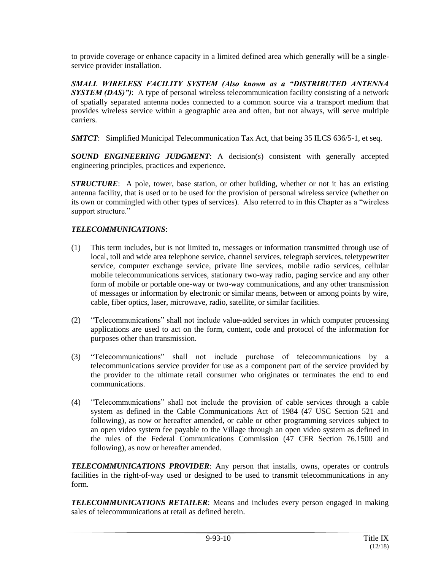to provide coverage or enhance capacity in a limited defined area which generally will be a singleservice provider installation.

*SMALL WIRELESS FACILITY SYSTEM (Also known as a "DISTRIBUTED ANTENNA SYSTEM (DAS)")*: A type of personal wireless telecommunication facility consisting of a network of spatially separated antenna nodes connected to a common source via a transport medium that provides wireless service within a geographic area and often, but not always, will serve multiple carriers.

*SMTCT*: Simplified Municipal Telecommunication Tax Act, that being 35 ILCS 636/5-1, et seq.

*SOUND ENGINEERING JUDGMENT*: A decision(s) consistent with generally accepted engineering principles, practices and experience.

*STRUCTURE*: A pole, tower, base station, or other building, whether or not it has an existing antenna facility, that is used or to be used for the provision of personal wireless service (whether on its own or commingled with other types of services). Also referred to in this Chapter as a "wireless support structure."

# *TELECOMMUNICATIONS*:

- (1) This term includes, but is not limited to, messages or information transmitted through use of local, toll and wide area telephone service, channel services, telegraph services, teletypewriter service, computer exchange service, private line services, mobile radio services, cellular mobile telecommunications services, stationary two-way radio, paging service and any other form of mobile or portable one-way or two-way communications, and any other transmission of messages or information by electronic or similar means, between or among points by wire, cable, fiber optics, laser, microwave, radio, satellite, or similar facilities.
- (2) "Telecommunications" shall not include value-added services in which computer processing applications are used to act on the form, content, code and protocol of the information for purposes other than transmission.
- (3) "Telecommunications" shall not include purchase of telecommunications by a telecommunications service provider for use as a component part of the service provided by the provider to the ultimate retail consumer who originates or terminates the end to end communications.
- (4) "Telecommunications" shall not include the provision of cable services through a cable system as defined in the Cable Communications Act of 1984 (47 USC Section 521 and following), as now or hereafter amended, or cable or other programming services subject to an open video system fee payable to the Village through an open video system as defined in the rules of the Federal Communications Commission (47 CFR Section 76.1500 and following), as now or hereafter amended.

*TELECOMMUNICATIONS PROVIDER*: Any person that installs, owns, operates or controls facilities in the right-of-way used or designed to be used to transmit telecommunications in any form.

*TELECOMMUNICATIONS RETAILER*: Means and includes every person engaged in making sales of telecommunications at retail as defined herein.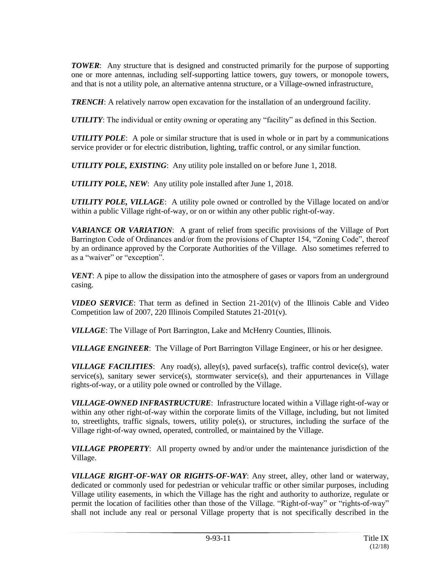*TOWER*: Any structure that is designed and constructed primarily for the purpose of supporting one or more antennas, including self-supporting lattice towers, guy towers, or monopole towers, and that is not a utility pole, an alternative antenna structure, or a Village-owned infrastructure.

*TRENCH*: A relatively narrow open excavation for the installation of an underground facility.

*UTILITY*: The individual or entity owning or operating any "facility" as defined in this Section.

*UTILITY POLE*: A pole or similar structure that is used in whole or in part by a communications service provider or for electric distribution, lighting, traffic control, or any similar function.

*UTILITY POLE, EXISTING*: Any utility pole installed on or before June 1, 2018.

*UTILITY POLE, NEW*: Any utility pole installed after June 1, 2018.

*UTILITY POLE, VILLAGE*: A utility pole owned or controlled by the Village located on and/or within a public Village right-of-way, or on or within any other public right-of-way.

*VARIANCE OR VARIATION*: A grant of relief from specific provisions of the Village of Port Barrington Code of Ordinances and/or from the provisions of Chapter 154, "Zoning Code", thereof by an ordinance approved by the Corporate Authorities of the Village. Also sometimes referred to as a "waiver" or "exception".

*VENT*: A pipe to allow the dissipation into the atmosphere of gases or vapors from an underground casing.

*VIDEO SERVICE*: That term as defined in Section 21-201(v) of the Illinois Cable and Video Competition law of 2007, 220 Illinois Compiled Statutes 21-201(v).

*VILLAGE*: The Village of Port Barrington, Lake and McHenry Counties, Illinois.

*VILLAGE ENGINEER*: The Village of Port Barrington Village Engineer, or his or her designee.

*VILLAGE FACILITIES*: Any road(s), alley(s), paved surface(s), traffic control device(s), water service(s), sanitary sewer service(s), stormwater service(s), and their appurtenances in Village rights-of-way, or a utility pole owned or controlled by the Village.

*VILLAGE-OWNED INFRASTRUCTURE*: Infrastructure located within a Village right-of-way or within any other right-of-way within the corporate limits of the Village, including, but not limited to, streetlights, traffic signals, towers, utility pole(s), or structures, including the surface of the Village right-of-way owned, operated, controlled, or maintained by the Village.

*VILLAGE PROPERTY*: All property owned by and/or under the maintenance jurisdiction of the Village.

*VILLAGE RIGHT-OF-WAY OR RIGHTS-OF-WAY*: Any street, alley, other land or waterway, dedicated or commonly used for pedestrian or vehicular traffic or other similar purposes, including Village utility easements, in which the Village has the right and authority to authorize, regulate or permit the location of facilities other than those of the Village. "Right-of-way" or "rights-of-way" shall not include any real or personal Village property that is not specifically described in the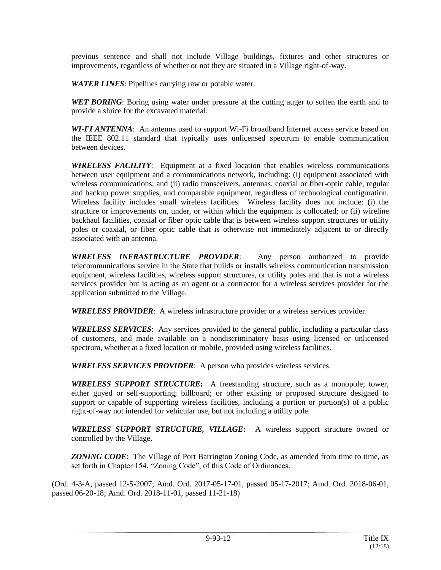previous sentence and shall not include Village buildings, fixtures and other structures or improvements, regardless of whether or not they are situated in a Village right-of-way.

*WATER LINES*: Pipelines carrying raw or potable water.

*WET BORING*: Boring using water under pressure at the cutting auger to soften the earth and to provide a sluice for the excavated material.

*WI-FI ANTENNA*: An antenna used to support Wi-Fi broadband Internet access service based on the IEEE 802.11 standard that typically uses unlicensed spectrum to enable communication between devices.

*WIRELESS FACILITY*: Equipment at a fixed location that enables wireless communications between user equipment and a communications network, including: (i) equipment associated with wireless communications; and (ii) radio transceivers, antennas, coaxial or fiber-optic cable, regular and backup power supplies, and comparable equipment, regardless of technological configuration. Wireless facility includes small wireless facilities. Wireless facility does not include: (i) the structure or improvements on, under, or within which the equipment is collocated; or (ii) wireline backhaul facilities, coaxial or fiber optic cable that is between wireless support structures or utility poles or coaxial, or fiber optic cable that is otherwise not immediately adjacent to or directly associated with an antenna.

*WIRELESS INFRASTRUCTURE PROVIDER*: Any person authorized to provide telecommunications service in the State that builds or installs wireless communication transmission equipment, wireless facilities, wireless support structures, or utility poles and that is not a wireless services provider but is acting as an agent or a contractor for a wireless services provider for the application submitted to the Village.

*WIRELESS PROVIDER*: A wireless infrastructure provider or a wireless services provider.

*WIRELESS SERVICES*: Any services provided to the general public, including a particular class of customers, and made available on a nondiscriminatory basis using licensed or unlicensed spectrum, whether at a fixed location or mobile, provided using wireless facilities.

*WIRELESS SERVICES PROVIDER*: A person who provides wireless services.

*WIRELESS SUPPORT STRUCTURE***:** A freestanding structure, such as a monopole; tower, either guyed or self-supporting; billboard; or other existing or proposed structure designed to support or capable of supporting wireless facilities, including a portion or portion(s) of a public right-of-way not intended for vehicular use, but not including a utility pole.

*WIRELESS SUPPORT STRUCTURE, VILLAGE***:** A wireless support structure owned or controlled by the Village.

*ZONING CODE*: The Village of Port Barrington Zoning Code, as amended from time to time, as set forth in Chapter 154, "Zoning Code", of this Code of Ordinances.

(Ord. 4-3-A, passed 12-5-2007; Amd. Ord. 2017-05-17-01, passed 05-17-2017; Amd. Ord. 2018-06-01, passed 06-20-18; Amd. Ord. 2018-11-01, passed 11-21-18)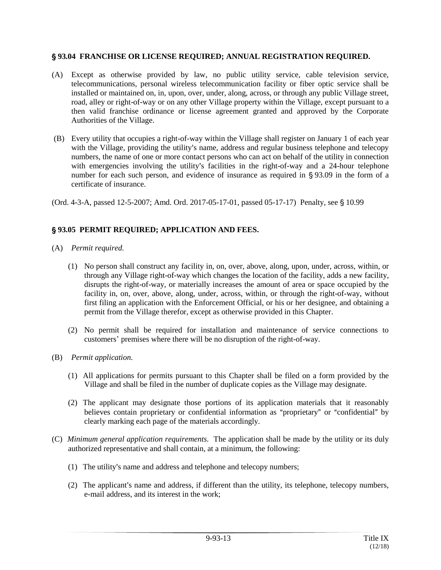#### ' **93.04 FRANCHISE OR LICENSE REQUIRED; ANNUAL REGISTRATION REQUIRED.**

- (A) Except as otherwise provided by law, no public utility service, cable television service, telecommunications, personal wireless telecommunication facility or fiber optic service shall be installed or maintained on, in, upon, over, under, along, across, or through any public Village street, road, alley or right-of-way or on any other Village property within the Village, except pursuant to a then valid franchise ordinance or license agreement granted and approved by the Corporate Authorities of the Village.
- (B) Every utility that occupies a right-of-way within the Village shall register on January 1 of each year with the Village, providing the utility's name, address and regular business telephone and telecopy numbers, the name of one or more contact persons who can act on behalf of the utility in connection with emergencies involving the utility's facilities in the right-of-way and a 24-hour telephone number for each such person, and evidence of insurance as required in  $\S 93.09$  in the form of a certificate of insurance.

(Ord. 4-3-A, passed 12-5-2007; Amd. Ord. 2017-05-17-01, passed 05-17-17) Penalty, see § 10.99

## ' **93.05 PERMIT REQUIRED; APPLICATION AND FEES.**

- (A) *Permit required.*
	- (1) No person shall construct any facility in, on, over, above, along, upon, under, across, within, or through any Village right-of-way which changes the location of the facility, adds a new facility, disrupts the right-of-way, or materially increases the amount of area or space occupied by the facility in, on, over, above, along, under, across, within, or through the right-of-way, without first filing an application with the Enforcement Official, or his or her designee, and obtaining a permit from the Village therefor, except as otherwise provided in this Chapter.
	- (2) No permit shall be required for installation and maintenance of service connections to customers' premises where there will be no disruption of the right-of-way.
- (B) *Permit application.*
	- (1) All applications for permits pursuant to this Chapter shall be filed on a form provided by the Village and shall be filed in the number of duplicate copies as the Village may designate.
	- (2) The applicant may designate those portions of its application materials that it reasonably believes contain proprietary or confidential information as "proprietary" or "confidential" by clearly marking each page of the materials accordingly.
- (C) *Minimum general application requirements.* The application shall be made by the utility or its duly authorized representative and shall contain, at a minimum, the following:
	- (1) The utility's name and address and telephone and telecopy numbers;
	- (2) The applicant's name and address, if different than the utility, its telephone, telecopy numbers, e-mail address, and its interest in the work;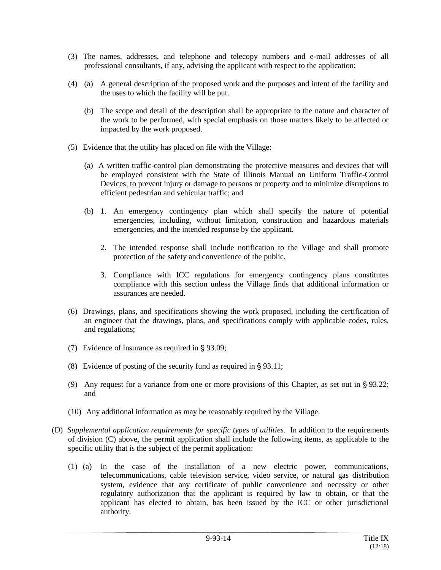- (3) The names, addresses, and telephone and telecopy numbers and e-mail addresses of all professional consultants, if any, advising the applicant with respect to the application;
- (4) (a) A general description of the proposed work and the purposes and intent of the facility and the uses to which the facility will be put.
	- (b) The scope and detail of the description shall be appropriate to the nature and character of the work to be performed, with special emphasis on those matters likely to be affected or impacted by the work proposed.
- (5) Evidence that the utility has placed on file with the Village:
	- (a) A written traffic-control plan demonstrating the protective measures and devices that will be employed consistent with the State of Illinois Manual on Uniform Traffic-Control Devices, to prevent injury or damage to persons or property and to minimize disruptions to efficient pedestrian and vehicular traffic; and
	- (b) 1. An emergency contingency plan which shall specify the nature of potential emergencies, including, without limitation, construction and hazardous materials emergencies, and the intended response by the applicant.
		- 2. The intended response shall include notification to the Village and shall promote protection of the safety and convenience of the public.
		- 3. Compliance with ICC regulations for emergency contingency plans constitutes compliance with this section unless the Village finds that additional information or assurances are needed.
- (6) Drawings, plans, and specifications showing the work proposed, including the certification of an engineer that the drawings, plans, and specifications comply with applicable codes, rules, and regulations;
- (7) Evidence of insurance as required in  $\S$  93.09;
- (8) Evidence of posting of the security fund as required in  $\S 93.11$ ;
- (9) Any request for a variance from one or more provisions of this Chapter, as set out in  $\S 93.22$ ; and
- (10) Any additional information as may be reasonably required by the Village.
- (D) *Supplemental application requirements for specific types of utilities.* In addition to the requirements of division (C) above, the permit application shall include the following items, as applicable to the specific utility that is the subject of the permit application:
	- (1) (a) In the case of the installation of a new electric power, communications, telecommunications, cable television service, video service, or natural gas distribution system, evidence that any certificate of public convenience and necessity or other regulatory authorization that the applicant is required by law to obtain, or that the applicant has elected to obtain, has been issued by the ICC or other jurisdictional authority.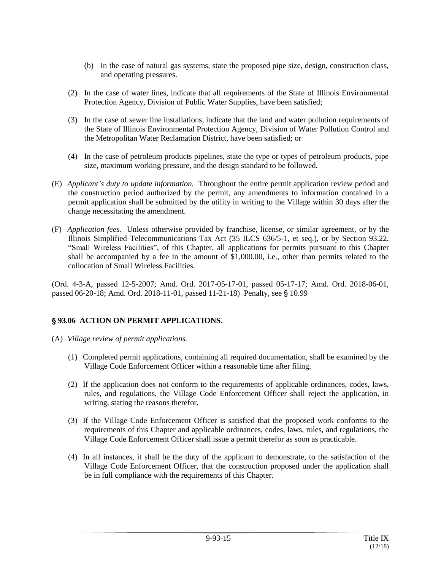- (b) In the case of natural gas systems, state the proposed pipe size, design, construction class, and operating pressures.
- (2) In the case of water lines, indicate that all requirements of the State of Illinois Environmental Protection Agency, Division of Public Water Supplies, have been satisfied;
- (3) In the case of sewer line installations, indicate that the land and water pollution requirements of the State of Illinois Environmental Protection Agency, Division of Water Pollution Control and the Metropolitan Water Reclamation District, have been satisfied; or
- (4) In the case of petroleum products pipelines, state the type or types of petroleum products, pipe size, maximum working pressure, and the design standard to be followed.
- (E) *Applicant's duty to update information.* Throughout the entire permit application review period and the construction period authorized by the permit, any amendments to information contained in a permit application shall be submitted by the utility in writing to the Village within 30 days after the change necessitating the amendment.
- (F) *Application fees.* Unless otherwise provided by franchise, license, or similar agreement, or by the Illinois Simplified Telecommunications Tax Act (35 ILCS 636/5-1, et seq.), or by Section 93.22, "Small Wireless Facilities", of this Chapter, all applications for permits pursuant to this Chapter shall be accompanied by a fee in the amount of \$1,000.00, i.e., other than permits related to the collocation of Small Wireless Facilities.

(Ord. 4-3-A, passed 12-5-2007; Amd. Ord. 2017-05-17-01, passed 05-17-17; Amd. Ord. 2018-06-01, passed 06-20-18; Amd. Ord. 2018-11-01, passed 11-21-18) Penalty, see § 10.99

## ' **93.06 ACTION ON PERMIT APPLICATIONS.**

- (A) *Village review of permit applications.*
	- (1) Completed permit applications, containing all required documentation, shall be examined by the Village Code Enforcement Officer within a reasonable time after filing.
	- (2) If the application does not conform to the requirements of applicable ordinances, codes, laws, rules, and regulations, the Village Code Enforcement Officer shall reject the application, in writing, stating the reasons therefor.
	- (3) If the Village Code Enforcement Officer is satisfied that the proposed work conforms to the requirements of this Chapter and applicable ordinances, codes, laws, rules, and regulations, the Village Code Enforcement Officer shall issue a permit therefor as soon as practicable.
	- (4) In all instances, it shall be the duty of the applicant to demonstrate, to the satisfaction of the Village Code Enforcement Officer, that the construction proposed under the application shall be in full compliance with the requirements of this Chapter.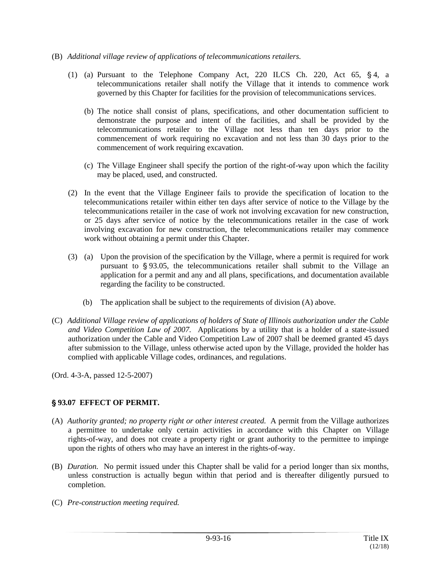- (B) *Additional village review of applications of telecommunications retailers.*
	- (1) (a) Pursuant to the Telephone Company Act, 220 ILCS Ch. 220, Act 65,  $§$ 4, a telecommunications retailer shall notify the Village that it intends to commence work governed by this Chapter for facilities for the provision of telecommunications services.
		- (b) The notice shall consist of plans, specifications, and other documentation sufficient to demonstrate the purpose and intent of the facilities, and shall be provided by the telecommunications retailer to the Village not less than ten days prior to the commencement of work requiring no excavation and not less than 30 days prior to the commencement of work requiring excavation.
		- (c) The Village Engineer shall specify the portion of the right-of-way upon which the facility may be placed, used, and constructed.
	- (2) In the event that the Village Engineer fails to provide the specification of location to the telecommunications retailer within either ten days after service of notice to the Village by the telecommunications retailer in the case of work not involving excavation for new construction, or 25 days after service of notice by the telecommunications retailer in the case of work involving excavation for new construction, the telecommunications retailer may commence work without obtaining a permit under this Chapter.
	- (3) (a) Upon the provision of the specification by the Village, where a permit is required for work pursuant to  $\frac{6}{93.05}$ , the telecommunications retailer shall submit to the Village an application for a permit and any and all plans, specifications, and documentation available regarding the facility to be constructed.
		- (b) The application shall be subject to the requirements of division (A) above.
- (C) *Additional Village review of applications of holders of State of Illinois authorization under the Cable and Video Competition Law of 2007.* Applications by a utility that is a holder of a state-issued authorization under the Cable and Video Competition Law of 2007 shall be deemed granted 45 days after submission to the Village, unless otherwise acted upon by the Village, provided the holder has complied with applicable Village codes, ordinances, and regulations.

## ' **93.07 EFFECT OF PERMIT.**

- (A) *Authority granted; no property right or other interest created.* A permit from the Village authorizes a permittee to undertake only certain activities in accordance with this Chapter on Village rights-of-way, and does not create a property right or grant authority to the permittee to impinge upon the rights of others who may have an interest in the rights-of-way.
- (B) *Duration.* No permit issued under this Chapter shall be valid for a period longer than six months, unless construction is actually begun within that period and is thereafter diligently pursued to completion.
- (C) *Pre-construction meeting required.*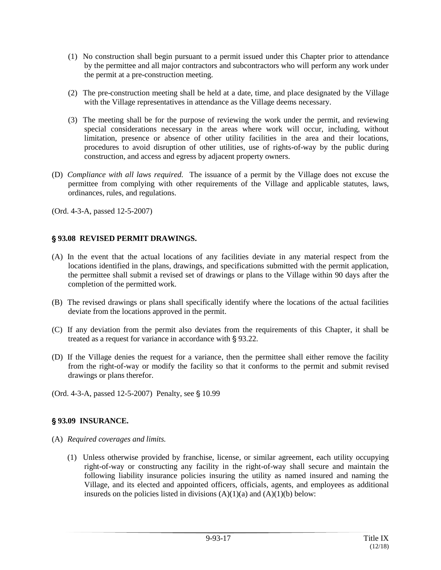- (1) No construction shall begin pursuant to a permit issued under this Chapter prior to attendance by the permittee and all major contractors and subcontractors who will perform any work under the permit at a pre-construction meeting.
- (2) The pre-construction meeting shall be held at a date, time, and place designated by the Village with the Village representatives in attendance as the Village deems necessary.
- (3) The meeting shall be for the purpose of reviewing the work under the permit, and reviewing special considerations necessary in the areas where work will occur, including, without limitation, presence or absence of other utility facilities in the area and their locations, procedures to avoid disruption of other utilities, use of rights-of-way by the public during construction, and access and egress by adjacent property owners.
- (D) *Compliance with all laws required.* The issuance of a permit by the Village does not excuse the permittee from complying with other requirements of the Village and applicable statutes, laws, ordinances, rules, and regulations.

#### ' **93.08 REVISED PERMIT DRAWINGS.**

- (A) In the event that the actual locations of any facilities deviate in any material respect from the locations identified in the plans, drawings, and specifications submitted with the permit application, the permittee shall submit a revised set of drawings or plans to the Village within 90 days after the completion of the permitted work.
- (B) The revised drawings or plans shall specifically identify where the locations of the actual facilities deviate from the locations approved in the permit.
- (C) If any deviation from the permit also deviates from the requirements of this Chapter, it shall be treated as a request for variance in accordance with  $\S 93.22$ .
- (D) If the Village denies the request for a variance, then the permittee shall either remove the facility from the right-of-way or modify the facility so that it conforms to the permit and submit revised drawings or plans therefor.
- (Ord. 4-3-A, passed 12-5-2007) Penalty, see § 10.99

## ' **93.09 INSURANCE.**

- (A) *Required coverages and limits.*
	- (1) Unless otherwise provided by franchise, license, or similar agreement, each utility occupying right-of-way or constructing any facility in the right-of-way shall secure and maintain the following liability insurance policies insuring the utility as named insured and naming the Village, and its elected and appointed officers, officials, agents, and employees as additional insureds on the policies listed in divisions  $(A)(1)(a)$  and  $(A)(1)(b)$  below: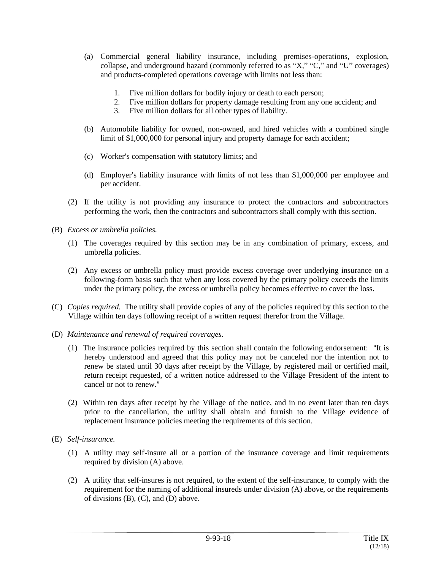- (a) Commercial general liability insurance, including premises-operations, explosion, collapse, and underground hazard (commonly referred to as "X," "C," and "U" coverages) and products-completed operations coverage with limits not less than:
	- 1. Five million dollars for bodily injury or death to each person;
	- 2. Five million dollars for property damage resulting from any one accident; and
	- 3. Five million dollars for all other types of liability.
- (b) Automobile liability for owned, non-owned, and hired vehicles with a combined single limit of \$1,000,000 for personal injury and property damage for each accident;
- (c) Worker's compensation with statutory limits; and
- (d) Employer's liability insurance with limits of not less than  $$1,000,000$  per employee and per accident.
- (2) If the utility is not providing any insurance to protect the contractors and subcontractors performing the work, then the contractors and subcontractors shall comply with this section.
- (B) *Excess or umbrella policies.*
	- (1) The coverages required by this section may be in any combination of primary, excess, and umbrella policies.
	- (2) Any excess or umbrella policy must provide excess coverage over underlying insurance on a following-form basis such that when any loss covered by the primary policy exceeds the limits under the primary policy, the excess or umbrella policy becomes effective to cover the loss.
- (C) *Copies required.* The utility shall provide copies of any of the policies required by this section to the Village within ten days following receipt of a written request therefor from the Village.
- (D) *Maintenance and renewal of required coverages.*
	- $(1)$  The insurance policies required by this section shall contain the following endorsement: "It is hereby understood and agreed that this policy may not be canceled nor the intention not to renew be stated until 30 days after receipt by the Village, by registered mail or certified mail, return receipt requested, of a written notice addressed to the Village President of the intent to cancel or not to renew."
	- (2) Within ten days after receipt by the Village of the notice, and in no event later than ten days prior to the cancellation, the utility shall obtain and furnish to the Village evidence of replacement insurance policies meeting the requirements of this section.
- (E) *Self-insurance.*
	- (1) A utility may self-insure all or a portion of the insurance coverage and limit requirements required by division (A) above.
	- (2) A utility that self-insures is not required, to the extent of the self-insurance, to comply with the requirement for the naming of additional insureds under division (A) above, or the requirements of divisions (B), (C), and (D) above.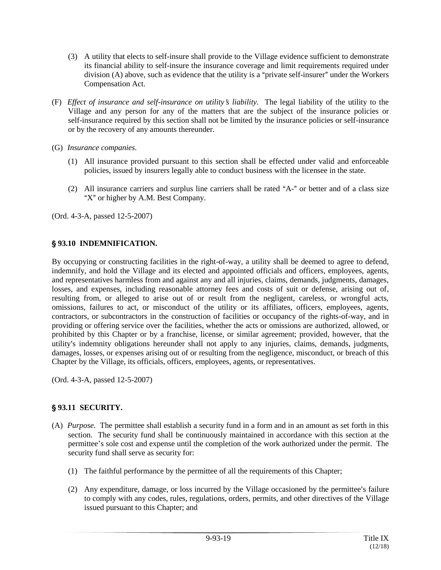- (3) A utility that elects to self-insure shall provide to the Village evidence sufficient to demonstrate its financial ability to self-insure the insurance coverage and limit requirements required under division  $(A)$  above, such as evidence that the utility is a "private self-insurer" under the Workers Compensation Act.
- (F) *Effect of insurance and self-insurance on utility's liability*. The legal liability of the utility to the Village and any person for any of the matters that are the subject of the insurance policies or self-insurance required by this section shall not be limited by the insurance policies or self-insurance or by the recovery of any amounts thereunder.
- (G) *Insurance companies.*
	- (1) All insurance provided pursuant to this section shall be effected under valid and enforceable policies, issued by insurers legally able to conduct business with the licensee in the state.
	- $(2)$  All insurance carriers and surplus line carriers shall be rated "A-" or better and of a class size " $X$ " or higher by A.M. Best Company.

# ' **93.10 INDEMNIFICATION.**

By occupying or constructing facilities in the right-of-way, a utility shall be deemed to agree to defend, indemnify, and hold the Village and its elected and appointed officials and officers, employees, agents, and representatives harmless from and against any and all injuries, claims, demands, judgments, damages, losses, and expenses, including reasonable attorney fees and costs of suit or defense, arising out of, resulting from, or alleged to arise out of or result from the negligent, careless, or wrongful acts, omissions, failures to act, or misconduct of the utility or its affiliates, officers, employees, agents, contractors, or subcontractors in the construction of facilities or occupancy of the rights-of-way, and in providing or offering service over the facilities, whether the acts or omissions are authorized, allowed, or prohibited by this Chapter or by a franchise, license, or similar agreement; provided, however, that the utility's indemnity obligations hereunder shall not apply to any injuries, claims, demands, judgments, damages, losses, or expenses arising out of or resulting from the negligence, misconduct, or breach of this Chapter by the Village, its officials, officers, employees, agents, or representatives.

(Ord. 4-3-A, passed 12-5-2007)

# ' **93.11 SECURITY.**

- (A) *Purpose.* The permittee shall establish a security fund in a form and in an amount as set forth in this section. The security fund shall be continuously maintained in accordance with this section at the permittee's sole cost and expense until the completion of the work authorized under the permit. The security fund shall serve as security for:
	- (1) The faithful performance by the permittee of all the requirements of this Chapter;
	- $(2)$  Any expenditure, damage, or loss incurred by the Village occasioned by the permittee's failure to comply with any codes, rules, regulations, orders, permits, and other directives of the Village issued pursuant to this Chapter; and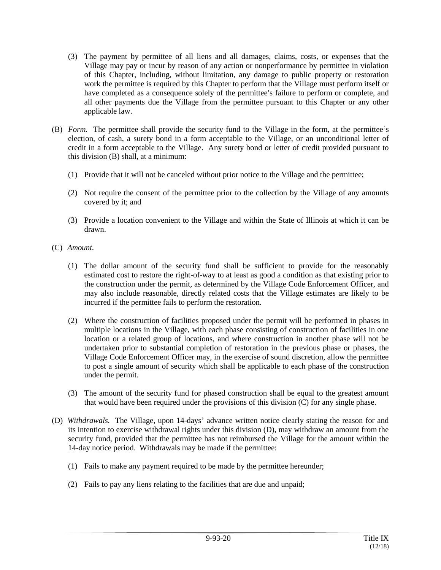- (3) The payment by permittee of all liens and all damages, claims, costs, or expenses that the Village may pay or incur by reason of any action or nonperformance by permittee in violation of this Chapter, including, without limitation, any damage to public property or restoration work the permittee is required by this Chapter to perform that the Village must perform itself or have completed as a consequence solely of the permittee's failure to perform or complete, and all other payments due the Village from the permittee pursuant to this Chapter or any other applicable law.
- (B) *Form.* The permittee shall provide the security fund to the Village in the form, at the permittee's election, of cash, a surety bond in a form acceptable to the Village, or an unconditional letter of credit in a form acceptable to the Village. Any surety bond or letter of credit provided pursuant to this division (B) shall, at a minimum:
	- (1) Provide that it will not be canceled without prior notice to the Village and the permittee;
	- (2) Not require the consent of the permittee prior to the collection by the Village of any amounts covered by it; and
	- (3) Provide a location convenient to the Village and within the State of Illinois at which it can be drawn.
- (C) *Amount.*
	- (1) The dollar amount of the security fund shall be sufficient to provide for the reasonably estimated cost to restore the right-of-way to at least as good a condition as that existing prior to the construction under the permit, as determined by the Village Code Enforcement Officer, and may also include reasonable, directly related costs that the Village estimates are likely to be incurred if the permittee fails to perform the restoration.
	- (2) Where the construction of facilities proposed under the permit will be performed in phases in multiple locations in the Village, with each phase consisting of construction of facilities in one location or a related group of locations, and where construction in another phase will not be undertaken prior to substantial completion of restoration in the previous phase or phases, the Village Code Enforcement Officer may, in the exercise of sound discretion, allow the permittee to post a single amount of security which shall be applicable to each phase of the construction under the permit.
	- (3) The amount of the security fund for phased construction shall be equal to the greatest amount that would have been required under the provisions of this division (C) for any single phase.
- (D) *Withdrawals.* The Village, upon 14-days' advance written notice clearly stating the reason for and its intention to exercise withdrawal rights under this division (D), may withdraw an amount from the security fund, provided that the permittee has not reimbursed the Village for the amount within the 14-day notice period. Withdrawals may be made if the permittee:
	- (1) Fails to make any payment required to be made by the permittee hereunder;
	- (2) Fails to pay any liens relating to the facilities that are due and unpaid;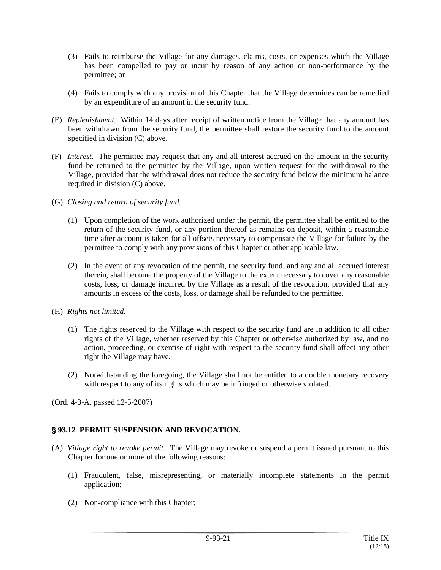- (3) Fails to reimburse the Village for any damages, claims, costs, or expenses which the Village has been compelled to pay or incur by reason of any action or non-performance by the permittee; or
- (4) Fails to comply with any provision of this Chapter that the Village determines can be remedied by an expenditure of an amount in the security fund.
- (E) *Replenishment.* Within 14 days after receipt of written notice from the Village that any amount has been withdrawn from the security fund, the permittee shall restore the security fund to the amount specified in division (C) above.
- (F) *Interest.* The permittee may request that any and all interest accrued on the amount in the security fund be returned to the permittee by the Village, upon written request for the withdrawal to the Village, provided that the withdrawal does not reduce the security fund below the minimum balance required in division (C) above.
- (G) *Closing and return of security fund.*
	- (1) Upon completion of the work authorized under the permit, the permittee shall be entitled to the return of the security fund, or any portion thereof as remains on deposit, within a reasonable time after account is taken for all offsets necessary to compensate the Village for failure by the permittee to comply with any provisions of this Chapter or other applicable law.
	- (2) In the event of any revocation of the permit, the security fund, and any and all accrued interest therein, shall become the property of the Village to the extent necessary to cover any reasonable costs, loss, or damage incurred by the Village as a result of the revocation, provided that any amounts in excess of the costs, loss, or damage shall be refunded to the permittee.
- (H) *Rights not limited.*
	- (1) The rights reserved to the Village with respect to the security fund are in addition to all other rights of the Village, whether reserved by this Chapter or otherwise authorized by law, and no action, proceeding, or exercise of right with respect to the security fund shall affect any other right the Village may have.
	- (2) Notwithstanding the foregoing, the Village shall not be entitled to a double monetary recovery with respect to any of its rights which may be infringed or otherwise violated.

# ' **93.12 PERMIT SUSPENSION AND REVOCATION.**

- (A) *Village right to revoke permit.* The Village may revoke or suspend a permit issued pursuant to this Chapter for one or more of the following reasons:
	- (1) Fraudulent, false, misrepresenting, or materially incomplete statements in the permit application;
	- (2) Non-compliance with this Chapter;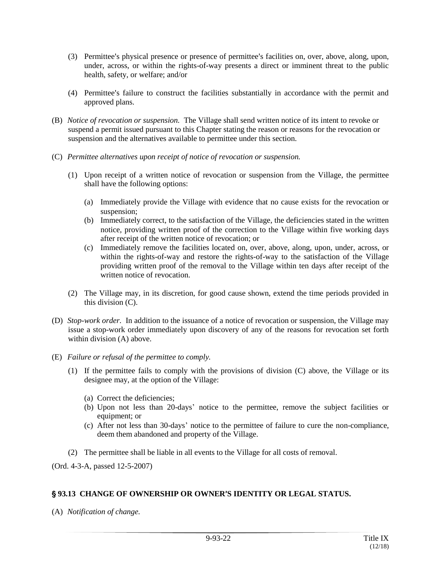- (3) Permittee's physical presence or presence of permittee's facilities on, over, above, along, upon, under, across, or within the rights-of-way presents a direct or imminent threat to the public health, safety, or welfare; and/or
- (4) Permittee's failure to construct the facilities substantially in accordance with the permit and approved plans.
- (B) *Notice of revocation or suspension.* The Village shall send written notice of its intent to revoke or suspend a permit issued pursuant to this Chapter stating the reason or reasons for the revocation or suspension and the alternatives available to permittee under this section.
- (C) *Permittee alternatives upon receipt of notice of revocation or suspension.*
	- (1) Upon receipt of a written notice of revocation or suspension from the Village, the permittee shall have the following options:
		- (a) Immediately provide the Village with evidence that no cause exists for the revocation or suspension;
		- (b) Immediately correct, to the satisfaction of the Village, the deficiencies stated in the written notice, providing written proof of the correction to the Village within five working days after receipt of the written notice of revocation; or
		- (c) Immediately remove the facilities located on, over, above, along, upon, under, across, or within the rights-of-way and restore the rights-of-way to the satisfaction of the Village providing written proof of the removal to the Village within ten days after receipt of the written notice of revocation
	- (2) The Village may, in its discretion, for good cause shown, extend the time periods provided in this division (C).
- (D) *Stop-work order.* In addition to the issuance of a notice of revocation or suspension, the Village may issue a stop-work order immediately upon discovery of any of the reasons for revocation set forth within division (A) above.
- (E) *Failure or refusal of the permittee to comply.*
	- (1) If the permittee fails to comply with the provisions of division (C) above, the Village or its designee may, at the option of the Village:
		- (a) Correct the deficiencies;
		- (b) Upon not less than 20-days' notice to the permittee, remove the subject facilities or equipment; or
		- (c) After not less than 30-days' notice to the permittee of failure to cure the non-compliance, deem them abandoned and property of the Village.
	- (2) The permittee shall be liable in all events to the Village for all costs of removal.

#### **§93.13 CHANGE OF OWNERSHIP OR OWNER'S IDENTITY OR LEGAL STATUS.**

(A) *Notification of change.*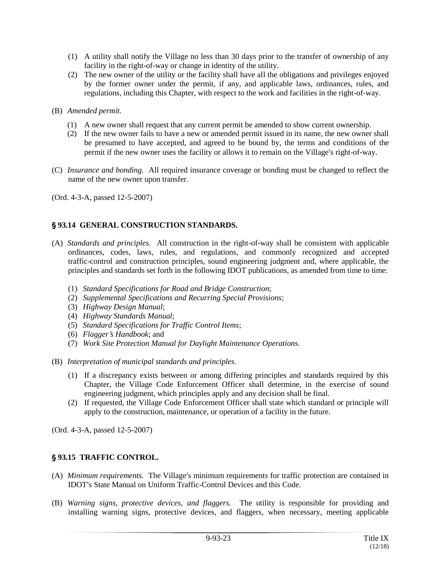- (1) A utility shall notify the Village no less than 30 days prior to the transfer of ownership of any facility in the right-of-way or change in identity of the utility.
- (2) The new owner of the utility or the facility shall have all the obligations and privileges enjoyed by the former owner under the permit, if any, and applicable laws, ordinances, rules, and regulations, including this Chapter, with respect to the work and facilities in the right-of-way.
- (B) *Amended permit.*
	- (1) A new owner shall request that any current permit be amended to show current ownership.
	- (2) If the new owner fails to have a new or amended permit issued in its name, the new owner shall be presumed to have accepted, and agreed to be bound by, the terms and conditions of the permit if the new owner uses the facility or allows it to remain on the Village's right-of-way.
- (C) *Insurance and bonding.* All required insurance coverage or bonding must be changed to reflect the name of the new owner upon transfer.

#### ' **93.14 GENERAL CONSTRUCTION STANDARDS.**

- (A) *Standards and principles.* All construction in the right-of-way shall be consistent with applicable ordinances, codes, laws, rules, and regulations, and commonly recognized and accepted traffic-control and construction principles, sound engineering judgment and, where applicable, the principles and standards set forth in the following IDOT publications, as amended from time to time:
	- (1) *Standard Specifications for Road and Bridge Construction*;
	- (2) *Supplemental Specifications and Recurring Special Provisions*;
	- (3) *Highway Design Manual*;
	- (4) *Highway Standards Manual*;
	- (5) *Standard Specifications for Traffic Control Items*;
	- (6) *Flagger*=*s Handbook*; and
	- (7) *Work Site Protection Manual for Daylight Maintenance Operations*.
- (B) *Interpretation of municipal standards and principles.*
	- (1) If a discrepancy exists between or among differing principles and standards required by this Chapter, the Village Code Enforcement Officer shall determine, in the exercise of sound engineering judgment, which principles apply and any decision shall be final.
	- (2) If requested, the Village Code Enforcement Officer shall state which standard or principle will apply to the construction, maintenance, or operation of a facility in the future.

(Ord. 4-3-A, passed 12-5-2007)

## ' **93.15 TRAFFIC CONTROL.**

- (A) *Minimum requirements*. The Village's minimum requirements for traffic protection are contained in IDOT's State Manual on Uniform Traffic-Control Devices and this Code.
- (B) *Warning signs, protective devices, and flaggers.* The utility is responsible for providing and installing warning signs, protective devices, and flaggers, when necessary, meeting applicable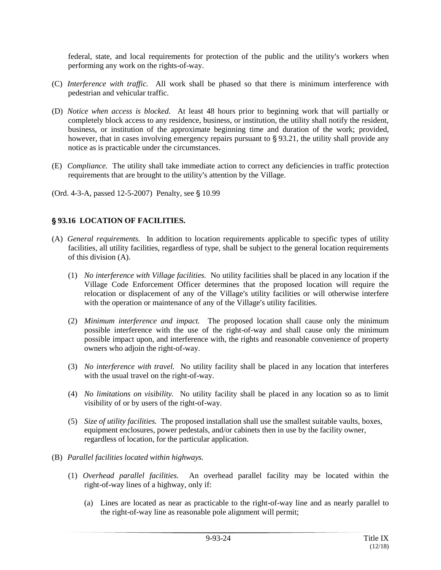federal, state, and local requirements for protection of the public and the utility's workers when performing any work on the rights-of-way.

- (C) *Interference with traffic.* All work shall be phased so that there is minimum interference with pedestrian and vehicular traffic.
- (D) *Notice when access is blocked.* At least 48 hours prior to beginning work that will partially or completely block access to any residence, business, or institution, the utility shall notify the resident, business, or institution of the approximate beginning time and duration of the work; provided, however, that in cases involving emergency repairs pursuant to  $\S 93.21$ , the utility shall provide any notice as is practicable under the circumstances.
- (E) *Compliance.* The utility shall take immediate action to correct any deficiencies in traffic protection requirements that are brought to the utility's attention by the Village.

(Ord. 4-3-A, passed  $12-5-2007$ ) Penalty, see  $\S 10.99$ 

#### ' **93.16 LOCATION OF FACILITIES.**

- (A) *General requirements.* In addition to location requirements applicable to specific types of utility facilities, all utility facilities, regardless of type, shall be subject to the general location requirements of this division (A).
	- (1) *No interference with Village facilities.* No utility facilities shall be placed in any location if the Village Code Enforcement Officer determines that the proposed location will require the relocation or displacement of any of the Village's utility facilities or will otherwise interfere with the operation or maintenance of any of the Village's utility facilities.
	- (2) *Minimum interference and impact.* The proposed location shall cause only the minimum possible interference with the use of the right-of-way and shall cause only the minimum possible impact upon, and interference with, the rights and reasonable convenience of property owners who adjoin the right-of-way.
	- (3) *No interference with travel.* No utility facility shall be placed in any location that interferes with the usual travel on the right-of-way.
	- (4) *No limitations on visibility.* No utility facility shall be placed in any location so as to limit visibility of or by users of the right-of-way.
	- (5) *Size of utility facilities.* The proposed installation shall use the smallest suitable vaults, boxes, equipment enclosures, power pedestals, and/or cabinets then in use by the facility owner, regardless of location, for the particular application.
- (B) *Parallel facilities located within highways.*
	- (1) *Overhead parallel facilities.* An overhead parallel facility may be located within the right-of-way lines of a highway, only if:
		- (a) Lines are located as near as practicable to the right-of-way line and as nearly parallel to the right-of-way line as reasonable pole alignment will permit;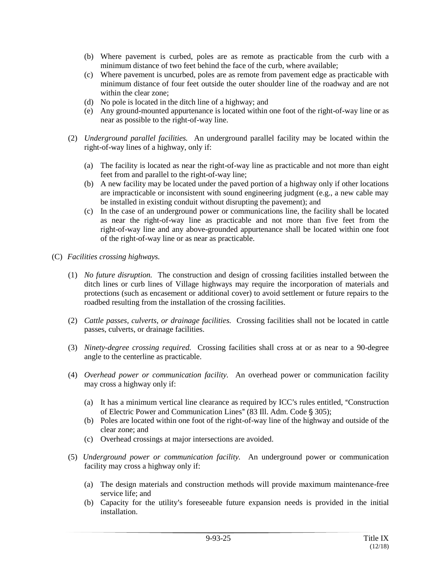- (b) Where pavement is curbed, poles are as remote as practicable from the curb with a minimum distance of two feet behind the face of the curb, where available;
- (c) Where pavement is uncurbed, poles are as remote from pavement edge as practicable with minimum distance of four feet outside the outer shoulder line of the roadway and are not within the clear zone;
- (d) No pole is located in the ditch line of a highway; and
- (e) Any ground-mounted appurtenance is located within one foot of the right-of-way line or as near as possible to the right-of-way line.
- (2) *Underground parallel facilities.* An underground parallel facility may be located within the right-of-way lines of a highway, only if:
	- (a) The facility is located as near the right-of-way line as practicable and not more than eight feet from and parallel to the right-of-way line;
	- (b) A new facility may be located under the paved portion of a highway only if other locations are impracticable or inconsistent with sound engineering judgment (e.g., a new cable may be installed in existing conduit without disrupting the pavement); and
	- (c) In the case of an underground power or communications line, the facility shall be located as near the right-of-way line as practicable and not more than five feet from the right-of-way line and any above-grounded appurtenance shall be located within one foot of the right-of-way line or as near as practicable.
- (C) *Facilities crossing highways.*
	- (1) *No future disruption.* The construction and design of crossing facilities installed between the ditch lines or curb lines of Village highways may require the incorporation of materials and protections (such as encasement or additional cover) to avoid settlement or future repairs to the roadbed resulting from the installation of the crossing facilities.
	- (2) *Cattle passes, culverts, or drainage facilities.* Crossing facilities shall not be located in cattle passes, culverts, or drainage facilities.
	- (3) *Ninety-degree crossing required.* Crossing facilities shall cross at or as near to a 90-degree angle to the centerline as practicable.
	- (4) *Overhead power or communication facility.* An overhead power or communication facility may cross a highway only if:
		- (a) It has a minimum vertical line clearance as required by ICC's rules entitled, "Construction" of Electric Power and Communication Lines" (83 Ill. Adm. Code § 305);
		- (b) Poles are located within one foot of the right-of-way line of the highway and outside of the clear zone; and
		- (c) Overhead crossings at major intersections are avoided.
	- (5) *Underground power or communication facility.* An underground power or communication facility may cross a highway only if:
		- (a) The design materials and construction methods will provide maximum maintenance-free service life; and
		- (b) Capacity for the utility's foreseeable future expansion needs is provided in the initial installation.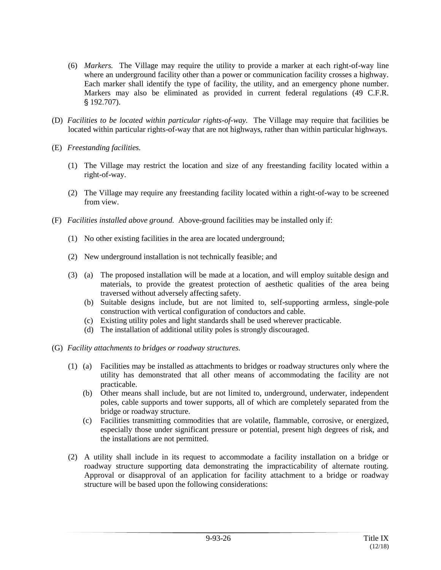- (6) *Markers.* The Village may require the utility to provide a marker at each right-of-way line where an underground facility other than a power or communication facility crosses a highway. Each marker shall identify the type of facility, the utility, and an emergency phone number. Markers may also be eliminated as provided in current federal regulations (49 C.F.R.  $$192.707$ ).
- (D) *Facilities to be located within particular rights-of-way.* The Village may require that facilities be located within particular rights-of-way that are not highways, rather than within particular highways.
- (E) *Freestanding facilities.*
	- (1) The Village may restrict the location and size of any freestanding facility located within a right-of-way.
	- (2) The Village may require any freestanding facility located within a right-of-way to be screened from view.
- (F) *Facilities installed above ground.* Above-ground facilities may be installed only if:
	- (1) No other existing facilities in the area are located underground;
	- (2) New underground installation is not technically feasible; and
	- (3) (a) The proposed installation will be made at a location, and will employ suitable design and materials, to provide the greatest protection of aesthetic qualities of the area being traversed without adversely affecting safety.
		- (b) Suitable designs include, but are not limited to, self-supporting armless, single-pole construction with vertical configuration of conductors and cable.
		- (c) Existing utility poles and light standards shall be used wherever practicable.
		- (d) The installation of additional utility poles is strongly discouraged.
- (G) *Facility attachments to bridges or roadway structures.*
	- (1) (a) Facilities may be installed as attachments to bridges or roadway structures only where the utility has demonstrated that all other means of accommodating the facility are not practicable.
		- (b) Other means shall include, but are not limited to, underground, underwater, independent poles, cable supports and tower supports, all of which are completely separated from the bridge or roadway structure.
		- (c) Facilities transmitting commodities that are volatile, flammable, corrosive, or energized, especially those under significant pressure or potential, present high degrees of risk, and the installations are not permitted.
	- (2) A utility shall include in its request to accommodate a facility installation on a bridge or roadway structure supporting data demonstrating the impracticability of alternate routing. Approval or disapproval of an application for facility attachment to a bridge or roadway structure will be based upon the following considerations: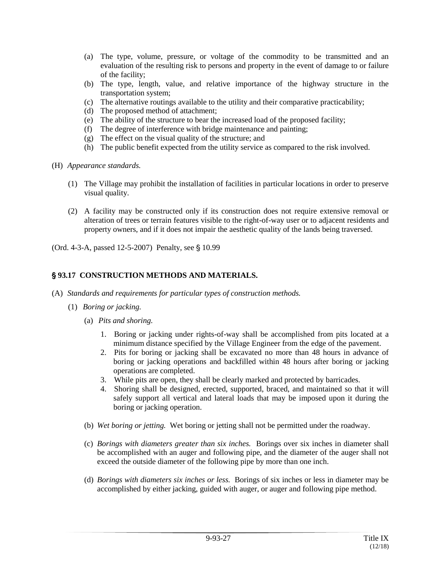- (a) The type, volume, pressure, or voltage of the commodity to be transmitted and an evaluation of the resulting risk to persons and property in the event of damage to or failure of the facility;
- (b) The type, length, value, and relative importance of the highway structure in the transportation system;
- (c) The alternative routings available to the utility and their comparative practicability;
- (d) The proposed method of attachment;
- (e) The ability of the structure to bear the increased load of the proposed facility;
- (f) The degree of interference with bridge maintenance and painting;
- (g) The effect on the visual quality of the structure; and
- (h) The public benefit expected from the utility service as compared to the risk involved.
- (H) *Appearance standards.*
	- (1) The Village may prohibit the installation of facilities in particular locations in order to preserve visual quality.
	- (2) A facility may be constructed only if its construction does not require extensive removal or alteration of trees or terrain features visible to the right-of-way user or to adjacent residents and property owners, and if it does not impair the aesthetic quality of the lands being traversed.

(Ord. 4-3-A, passed 12-5-2007) Penalty, see § 10.99

# ' **93.17 CONSTRUCTION METHODS AND MATERIALS.**

- (A) *Standards and requirements for particular types of construction methods.*
	- (1) *Boring or jacking.*
		- (a) *Pits and shoring.*
			- 1. Boring or jacking under rights-of-way shall be accomplished from pits located at a minimum distance specified by the Village Engineer from the edge of the pavement.
			- 2. Pits for boring or jacking shall be excavated no more than 48 hours in advance of boring or jacking operations and backfilled within 48 hours after boring or jacking operations are completed.
			- 3. While pits are open, they shall be clearly marked and protected by barricades.
			- 4. Shoring shall be designed, erected, supported, braced, and maintained so that it will safely support all vertical and lateral loads that may be imposed upon it during the boring or jacking operation.
		- (b) *Wet boring or jetting.* Wet boring or jetting shall not be permitted under the roadway.
		- (c) *Borings with diameters greater than six inches.* Borings over six inches in diameter shall be accomplished with an auger and following pipe, and the diameter of the auger shall not exceed the outside diameter of the following pipe by more than one inch.
		- (d) *Borings with diameters six inches or less.* Borings of six inches or less in diameter may be accomplished by either jacking, guided with auger, or auger and following pipe method.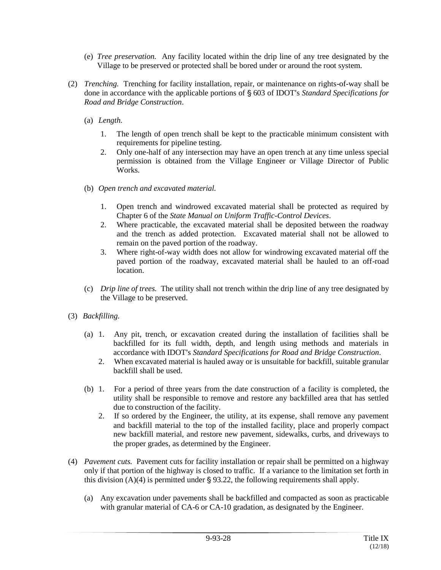- (e) *Tree preservation.* Any facility located within the drip line of any tree designated by the Village to be preserved or protected shall be bored under or around the root system.
- (2) *Trenching.* Trenching for facility installation, repair, or maintenance on rights-of-way shall be done in accordance with the applicable portions of § 603 of IDOT's *Standard Specifications for Road and Bridge Construction*.
	- (a) *Length.*
		- 1. The length of open trench shall be kept to the practicable minimum consistent with requirements for pipeline testing.
		- 2. Only one-half of any intersection may have an open trench at any time unless special permission is obtained from the Village Engineer or Village Director of Public Works.
	- (b) *Open trench and excavated material.*
		- 1. Open trench and windrowed excavated material shall be protected as required by Chapter 6 of the *State Manual on Uniform Traffic-Control Devices*.
		- 2. Where practicable, the excavated material shall be deposited between the roadway and the trench as added protection. Excavated material shall not be allowed to remain on the paved portion of the roadway.
		- 3. Where right-of-way width does not allow for windrowing excavated material off the paved portion of the roadway, excavated material shall be hauled to an off-road location.
	- (c) *Drip line of trees.* The utility shall not trench within the drip line of any tree designated by the Village to be preserved.
- (3) *Backfilling.*
	- (a) 1. Any pit, trench, or excavation created during the installation of facilities shall be backfilled for its full width, depth, and length using methods and materials in accordance with IDOT's *Standard Specifications for Road and Bridge Construction*.
		- 2. When excavated material is hauled away or is unsuitable for backfill, suitable granular backfill shall be used.
	- (b) 1. For a period of three years from the date construction of a facility is completed, the utility shall be responsible to remove and restore any backfilled area that has settled due to construction of the facility.
		- 2. If so ordered by the Engineer, the utility, at its expense, shall remove any pavement and backfill material to the top of the installed facility, place and properly compact new backfill material, and restore new pavement, sidewalks, curbs, and driveways to the proper grades, as determined by the Engineer.
- (4) *Pavement cuts.* Pavement cuts for facility installation or repair shall be permitted on a highway only if that portion of the highway is closed to traffic. If a variance to the limitation set forth in this division  $(A)(4)$  is permitted under § 93.22, the following requirements shall apply.
	- (a) Any excavation under pavements shall be backfilled and compacted as soon as practicable with granular material of CA-6 or CA-10 gradation, as designated by the Engineer.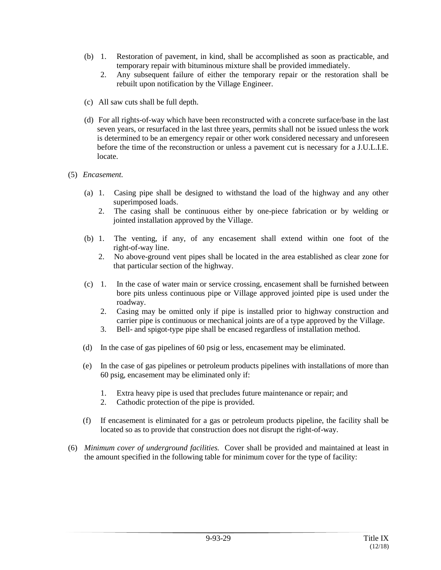- (b) 1. Restoration of pavement, in kind, shall be accomplished as soon as practicable, and temporary repair with bituminous mixture shall be provided immediately.
	- 2. Any subsequent failure of either the temporary repair or the restoration shall be rebuilt upon notification by the Village Engineer.
- (c) All saw cuts shall be full depth.
- (d) For all rights-of-way which have been reconstructed with a concrete surface/base in the last seven years, or resurfaced in the last three years, permits shall not be issued unless the work is determined to be an emergency repair or other work considered necessary and unforeseen before the time of the reconstruction or unless a pavement cut is necessary for a J.U.L.I.E. locate.

#### (5) *Encasement.*

- (a) 1. Casing pipe shall be designed to withstand the load of the highway and any other superimposed loads.
	- 2. The casing shall be continuous either by one-piece fabrication or by welding or jointed installation approved by the Village.
- (b) 1. The venting, if any, of any encasement shall extend within one foot of the right-of-way line.
	- 2. No above-ground vent pipes shall be located in the area established as clear zone for that particular section of the highway.
- (c) 1. In the case of water main or service crossing, encasement shall be furnished between bore pits unless continuous pipe or Village approved jointed pipe is used under the roadway.
	- 2. Casing may be omitted only if pipe is installed prior to highway construction and carrier pipe is continuous or mechanical joints are of a type approved by the Village.
	- 3. Bell- and spigot-type pipe shall be encased regardless of installation method.
- (d) In the case of gas pipelines of 60 psig or less, encasement may be eliminated.
- (e) In the case of gas pipelines or petroleum products pipelines with installations of more than 60 psig, encasement may be eliminated only if:
	- 1. Extra heavy pipe is used that precludes future maintenance or repair; and
	- 2. Cathodic protection of the pipe is provided.
- (f) If encasement is eliminated for a gas or petroleum products pipeline, the facility shall be located so as to provide that construction does not disrupt the right-of-way.
- (6) *Minimum cover of underground facilities.* Cover shall be provided and maintained at least in the amount specified in the following table for minimum cover for the type of facility: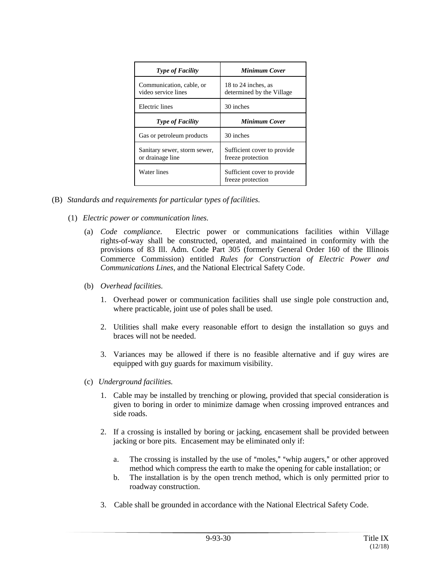| <b>Type of Facility</b>                          | <b>Minimum Cover</b>                              |
|--------------------------------------------------|---------------------------------------------------|
| Communication, cable, or<br>video service lines  | 18 to 24 inches, as<br>determined by the Village  |
| Electric lines                                   | 30 inches                                         |
| <b>Type of Facility</b>                          | <b>Minimum Cover</b>                              |
| Gas or petroleum products                        | 30 inches                                         |
| Sanitary sewer, storm sewer,<br>or drainage line | Sufficient cover to provide.<br>freeze protection |
| Water lines                                      | Sufficient cover to provide.<br>freeze protection |

- (B) *Standards and requirements for particular types of facilities.*
	- (1) *Electric power or communication lines.*
		- (a) *Code compliance.* Electric power or communications facilities within Village rights-of-way shall be constructed, operated, and maintained in conformity with the provisions of 83 Ill. Adm. Code Part 305 (formerly General Order 160 of the Illinois Commerce Commission) entitled *Rules for Construction of Electric Power and Communications Lines*, and the National Electrical Safety Code.
		- (b) *Overhead facilities.*
			- 1. Overhead power or communication facilities shall use single pole construction and, where practicable, joint use of poles shall be used.
			- 2. Utilities shall make every reasonable effort to design the installation so guys and braces will not be needed.
			- 3. Variances may be allowed if there is no feasible alternative and if guy wires are equipped with guy guards for maximum visibility.
		- (c) *Underground facilities.*
			- 1. Cable may be installed by trenching or plowing, provided that special consideration is given to boring in order to minimize damage when crossing improved entrances and side roads.
			- 2. If a crossing is installed by boring or jacking, encasement shall be provided between jacking or bore pits. Encasement may be eliminated only if:
				- a. The crossing is installed by the use of "moles," "whip augers," or other approved method which compress the earth to make the opening for cable installation; or
				- b. The installation is by the open trench method, which is only permitted prior to roadway construction.
			- 3. Cable shall be grounded in accordance with the National Electrical Safety Code.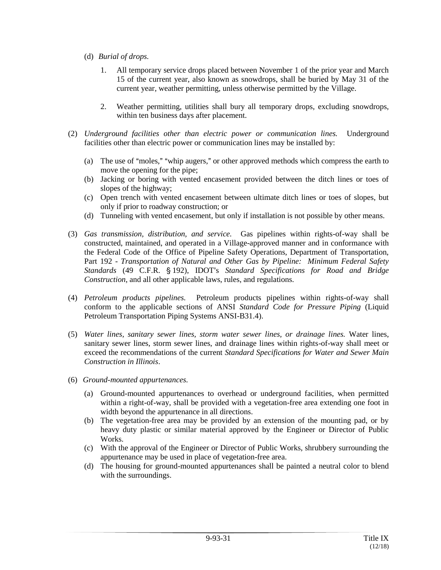- (d) *Burial of drops.*
	- 1. All temporary service drops placed between November 1 of the prior year and March 15 of the current year, also known as snowdrops, shall be buried by May 31 of the current year, weather permitting, unless otherwise permitted by the Village.
	- 2. Weather permitting, utilities shall bury all temporary drops, excluding snowdrops, within ten business days after placement.
- (2) *Underground facilities other than electric power or communication lines.* Underground facilities other than electric power or communication lines may be installed by:
	- (a) The use of "moles," "whip augers," or other approved methods which compress the earth to move the opening for the pipe;
	- (b) Jacking or boring with vented encasement provided between the ditch lines or toes of slopes of the highway;
	- (c) Open trench with vented encasement between ultimate ditch lines or toes of slopes, but only if prior to roadway construction; or
	- (d) Tunneling with vented encasement, but only if installation is not possible by other means.
- (3) *Gas transmission, distribution, and service.* Gas pipelines within rights-of-way shall be constructed, maintained, and operated in a Village-approved manner and in conformance with the Federal Code of the Office of Pipeline Safety Operations, Department of Transportation, Part 192 - *Transportation of Natural and Other Gas by Pipeline: Minimum Federal Safety Standards* (49 C.F.R. § 192), IDOT's *Standard Specifications for Road and Bridge Construction*, and all other applicable laws, rules, and regulations.
- (4) *Petroleum products pipelines.* Petroleum products pipelines within rights-of-way shall conform to the applicable sections of ANSI *Standard Code for Pressure Piping* (Liquid Petroleum Transportation Piping Systems ANSI-B31.4).
- (5) *Water lines, sanitary sewer lines, storm water sewer lines, or drainage lines.* Water lines, sanitary sewer lines, storm sewer lines, and drainage lines within rights-of-way shall meet or exceed the recommendations of the current *Standard Specifications for Water and Sewer Main Construction in Illinois*.
- (6) *Ground-mounted appurtenances.*
	- (a) Ground-mounted appurtenances to overhead or underground facilities, when permitted within a right-of-way, shall be provided with a vegetation-free area extending one foot in width beyond the appurtenance in all directions.
	- (b) The vegetation-free area may be provided by an extension of the mounting pad, or by heavy duty plastic or similar material approved by the Engineer or Director of Public Works.
	- (c) With the approval of the Engineer or Director of Public Works, shrubbery surrounding the appurtenance may be used in place of vegetation-free area.
	- (d) The housing for ground-mounted appurtenances shall be painted a neutral color to blend with the surroundings.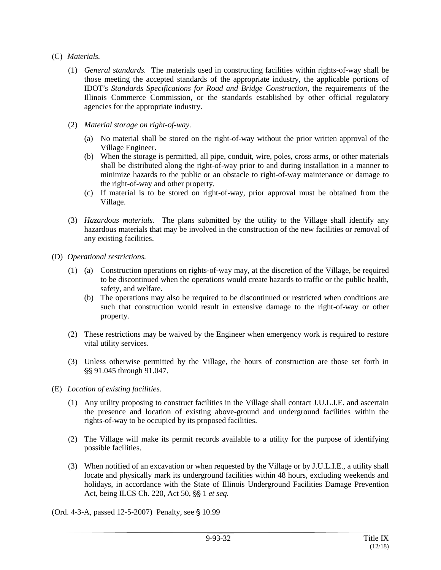- (C) *Materials.*
	- (1) *General standards.* The materials used in constructing facilities within rights-of-way shall be those meeting the accepted standards of the appropriate industry, the applicable portions of IDOT's *Standards Specifications for Road and Bridge Construction*, the requirements of the Illinois Commerce Commission, or the standards established by other official regulatory agencies for the appropriate industry.
	- (2) *Material storage on right-of-way.*
		- (a) No material shall be stored on the right-of-way without the prior written approval of the Village Engineer.
		- (b) When the storage is permitted, all pipe, conduit, wire, poles, cross arms, or other materials shall be distributed along the right-of-way prior to and during installation in a manner to minimize hazards to the public or an obstacle to right-of-way maintenance or damage to the right-of-way and other property.
		- (c) If material is to be stored on right-of-way, prior approval must be obtained from the Village.
	- (3) *Hazardous materials.* The plans submitted by the utility to the Village shall identify any hazardous materials that may be involved in the construction of the new facilities or removal of any existing facilities.
- (D) *Operational restrictions.*
	- (1) (a) Construction operations on rights-of-way may, at the discretion of the Village, be required to be discontinued when the operations would create hazards to traffic or the public health, safety, and welfare.
		- (b) The operations may also be required to be discontinued or restricted when conditions are such that construction would result in extensive damage to the right-of-way or other property.
	- (2) These restrictions may be waived by the Engineer when emergency work is required to restore vital utility services.
	- (3) Unless otherwise permitted by the Village, the hours of construction are those set forth in \$\$ 91.045 through 91.047.
- (E) *Location of existing facilities.*
	- (1) Any utility proposing to construct facilities in the Village shall contact J.U.L.I.E. and ascertain the presence and location of existing above-ground and underground facilities within the rights-of-way to be occupied by its proposed facilities.
	- (2) The Village will make its permit records available to a utility for the purpose of identifying possible facilities.
	- (3) When notified of an excavation or when requested by the Village or by J.U.L.I.E., a utility shall locate and physically mark its underground facilities within 48 hours, excluding weekends and holidays, in accordance with the State of Illinois Underground Facilities Damage Prevention Act, being ILCS Ch. 220, Act 50, SS 1 *et seq.*
- (Ord. 4-3-A, passed 12-5-2007) Penalty, see § 10.99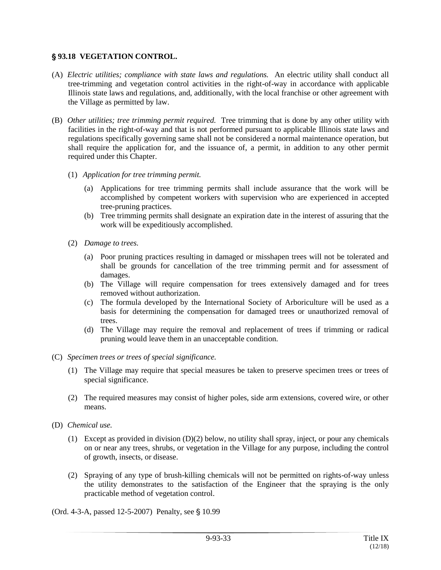#### ' **93.18 VEGETATION CONTROL.**

- (A) *Electric utilities; compliance with state laws and regulations.* An electric utility shall conduct all tree-trimming and vegetation control activities in the right-of-way in accordance with applicable Illinois state laws and regulations, and, additionally, with the local franchise or other agreement with the Village as permitted by law.
- (B) *Other utilities; tree trimming permit required.* Tree trimming that is done by any other utility with facilities in the right-of-way and that is not performed pursuant to applicable Illinois state laws and regulations specifically governing same shall not be considered a normal maintenance operation, but shall require the application for, and the issuance of, a permit, in addition to any other permit required under this Chapter.
	- (1) *Application for tree trimming permit.*
		- (a) Applications for tree trimming permits shall include assurance that the work will be accomplished by competent workers with supervision who are experienced in accepted tree-pruning practices.
		- (b) Tree trimming permits shall designate an expiration date in the interest of assuring that the work will be expeditiously accomplished.
	- (2) *Damage to trees.*
		- (a) Poor pruning practices resulting in damaged or misshapen trees will not be tolerated and shall be grounds for cancellation of the tree trimming permit and for assessment of damages.
		- (b) The Village will require compensation for trees extensively damaged and for trees removed without authorization.
		- (c) The formula developed by the International Society of Arboriculture will be used as a basis for determining the compensation for damaged trees or unauthorized removal of trees.
		- (d) The Village may require the removal and replacement of trees if trimming or radical pruning would leave them in an unacceptable condition.
- (C) *Specimen trees or trees of special significance.*
	- (1) The Village may require that special measures be taken to preserve specimen trees or trees of special significance.
	- (2) The required measures may consist of higher poles, side arm extensions, covered wire, or other means.
- (D) *Chemical use.*
	- (1) Except as provided in division (D)(2) below, no utility shall spray, inject, or pour any chemicals on or near any trees, shrubs, or vegetation in the Village for any purpose, including the control of growth, insects, or disease.
	- (2) Spraying of any type of brush-killing chemicals will not be permitted on rights-of-way unless the utility demonstrates to the satisfaction of the Engineer that the spraying is the only practicable method of vegetation control.
- (Ord. 4-3-A, passed  $12-5-2007$ ) Penalty, see § 10.99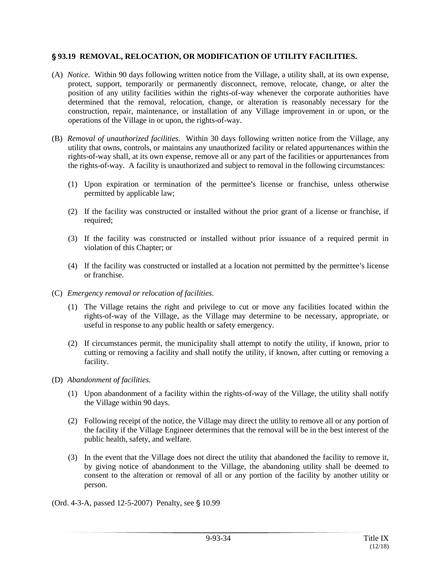#### ' **93.19 REMOVAL, RELOCATION, OR MODIFICATION OF UTILITY FACILITIES.**

- (A) *Notice.* Within 90 days following written notice from the Village, a utility shall, at its own expense, protect, support, temporarily or permanently disconnect, remove, relocate, change, or alter the position of any utility facilities within the rights-of-way whenever the corporate authorities have determined that the removal, relocation, change, or alteration is reasonably necessary for the construction, repair, maintenance, or installation of any Village improvement in or upon, or the operations of the Village in or upon, the rights-of-way.
- (B) *Removal of unauthorized facilities.* Within 30 days following written notice from the Village, any utility that owns, controls, or maintains any unauthorized facility or related appurtenances within the rights-of-way shall, at its own expense, remove all or any part of the facilities or appurtenances from the rights-of-way. A facility is unauthorized and subject to removal in the following circumstances:
	- $(1)$  Upon expiration or termination of the permittee's license or franchise, unless otherwise permitted by applicable law;
	- (2) If the facility was constructed or installed without the prior grant of a license or franchise, if required;
	- (3) If the facility was constructed or installed without prior issuance of a required permit in violation of this Chapter; or
	- $(4)$  If the facility was constructed or installed at a location not permitted by the permittee's license or franchise.
- (C) *Emergency removal or relocation of facilities.*
	- (1) The Village retains the right and privilege to cut or move any facilities located within the rights-of-way of the Village, as the Village may determine to be necessary, appropriate, or useful in response to any public health or safety emergency.
	- (2) If circumstances permit, the municipality shall attempt to notify the utility, if known, prior to cutting or removing a facility and shall notify the utility, if known, after cutting or removing a facility.
- (D) *Abandonment of facilities.*
	- (1) Upon abandonment of a facility within the rights-of-way of the Village, the utility shall notify the Village within 90 days.
	- (2) Following receipt of the notice, the Village may direct the utility to remove all or any portion of the facility if the Village Engineer determines that the removal will be in the best interest of the public health, safety, and welfare.
	- (3) In the event that the Village does not direct the utility that abandoned the facility to remove it, by giving notice of abandonment to the Village, the abandoning utility shall be deemed to consent to the alteration or removal of all or any portion of the facility by another utility or person.
- (Ord. 4-3-A, passed 12-5-2007) Penalty, see § 10.99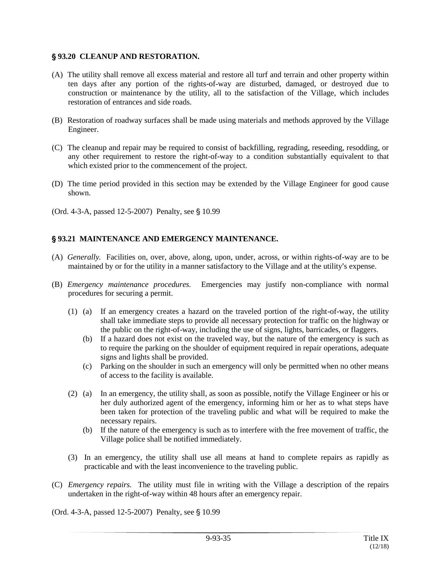#### ' **93.20 CLEANUP AND RESTORATION.**

- (A) The utility shall remove all excess material and restore all turf and terrain and other property within ten days after any portion of the rights-of-way are disturbed, damaged, or destroyed due to construction or maintenance by the utility, all to the satisfaction of the Village, which includes restoration of entrances and side roads.
- (B) Restoration of roadway surfaces shall be made using materials and methods approved by the Village Engineer.
- (C) The cleanup and repair may be required to consist of backfilling, regrading, reseeding, resodding, or any other requirement to restore the right-of-way to a condition substantially equivalent to that which existed prior to the commencement of the project.
- (D) The time period provided in this section may be extended by the Village Engineer for good cause shown.
- (Ord. 4-3-A, passed  $12-5-2007$ ) Penalty, see  $$10.99$

#### ' **93.21 MAINTENANCE AND EMERGENCY MAINTENANCE.**

- (A) *Generally.* Facilities on, over, above, along, upon, under, across, or within rights-of-way are to be maintained by or for the utility in a manner satisfactory to the Village and at the utility's expense.
- (B) *Emergency maintenance procedures.* Emergencies may justify non-compliance with normal procedures for securing a permit.
	- (1) (a) If an emergency creates a hazard on the traveled portion of the right-of-way, the utility shall take immediate steps to provide all necessary protection for traffic on the highway or the public on the right-of-way, including the use of signs, lights, barricades, or flaggers.
		- (b) If a hazard does not exist on the traveled way, but the nature of the emergency is such as to require the parking on the shoulder of equipment required in repair operations, adequate signs and lights shall be provided.
		- (c) Parking on the shoulder in such an emergency will only be permitted when no other means of access to the facility is available.
	- (2) (a) In an emergency, the utility shall, as soon as possible, notify the Village Engineer or his or her duly authorized agent of the emergency, informing him or her as to what steps have been taken for protection of the traveling public and what will be required to make the necessary repairs.
		- (b) If the nature of the emergency is such as to interfere with the free movement of traffic, the Village police shall be notified immediately.
	- (3) In an emergency, the utility shall use all means at hand to complete repairs as rapidly as practicable and with the least inconvenience to the traveling public.
- (C) *Emergency repairs.* The utility must file in writing with the Village a description of the repairs undertaken in the right-of-way within 48 hours after an emergency repair.
- (Ord. 4-3-A, passed  $12-5-2007$ ) Penalty, see §  $10.99$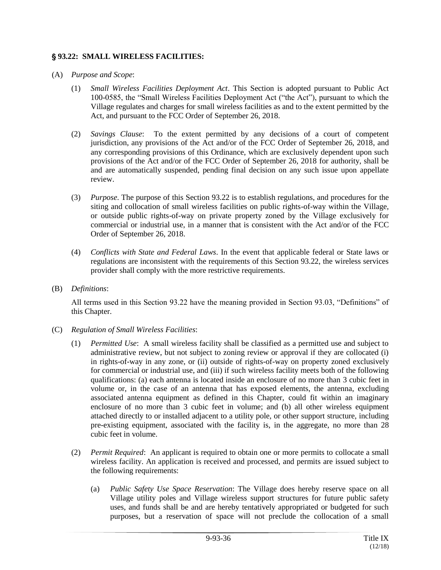#### ' **93.22: SMALL WIRELESS FACILITIES:**

- (A) *Purpose and Scope*:
	- (1) *Small Wireless Facilities Deployment Act*. This Section is adopted pursuant to Public Act 100-0585, the "Small Wireless Facilities Deployment Act ("the Act"), pursuant to which the Village regulates and charges for small wireless facilities as and to the extent permitted by the Act, and pursuant to the FCC Order of September 26, 2018.
	- (2) *Savings Clause*: To the extent permitted by any decisions of a court of competent jurisdiction, any provisions of the Act and/or of the FCC Order of September 26, 2018, and any corresponding provisions of this Ordinance, which are exclusively dependent upon such provisions of the Act and/or of the FCC Order of September 26, 2018 for authority, shall be and are automatically suspended, pending final decision on any such issue upon appellate review.
	- (3) *Purpose*. The purpose of this Section 93.22 is to establish regulations, and procedures for the siting and collocation of small wireless facilities on public rights-of-way within the Village, or outside public rights-of-way on private property zoned by the Village exclusively for commercial or industrial use, in a manner that is consistent with the Act and/or of the FCC Order of September 26, 2018.
	- (4) *Conflicts with State and Federal Laws*. In the event that applicable federal or State laws or regulations are inconsistent with the requirements of this Section 93.22, the wireless services provider shall comply with the more restrictive requirements.
- (B) *Definitions*:

All terms used in this Section 93.22 have the meaning provided in Section 93.03, "Definitions" of this Chapter.

- (C) *Regulation of Small Wireless Facilities*:
	- (1) *Permitted Use*: A small wireless facility shall be classified as a permitted use and subject to administrative review, but not subject to zoning review or approval if they are collocated (i) in rights-of-way in any zone, or (ii) outside of rights-of-way on property zoned exclusively for commercial or industrial use, and (iii) if such wireless facility meets both of the following qualifications: (a) each antenna is located inside an enclosure of no more than 3 cubic feet in volume or, in the case of an antenna that has exposed elements, the antenna, excluding associated antenna equipment as defined in this Chapter, could fit within an imaginary enclosure of no more than 3 cubic feet in volume; and (b) all other wireless equipment attached directly to or installed adjacent to a utility pole, or other support structure, including pre-existing equipment, associated with the facility is, in the aggregate, no more than 28 cubic feet in volume.
	- (2) *Permit Required*: An applicant is required to obtain one or more permits to collocate a small wireless facility. An application is received and processed, and permits are issued subject to the following requirements:
		- (a) *Public Safety Use Space Reservation*: The Village does hereby reserve space on all Village utility poles and Village wireless support structures for future public safety uses, and funds shall be and are hereby tentatively appropriated or budgeted for such purposes, but a reservation of space will not preclude the collocation of a small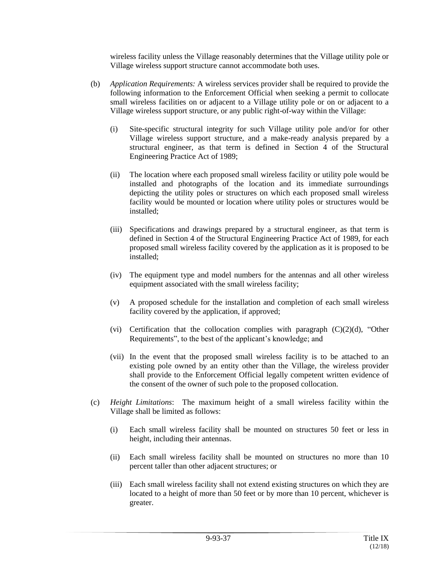wireless facility unless the Village reasonably determines that the Village utility pole or Village wireless support structure cannot accommodate both uses.

- (b) *Application Requirements:* A wireless services provider shall be required to provide the following information to the Enforcement Official when seeking a permit to collocate small wireless facilities on or adjacent to a Village utility pole or on or adjacent to a Village wireless support structure, or any public right-of-way within the Village:
	- (i) Site-specific structural integrity for such Village utility pole and/or for other Village wireless support structure, and a make-ready analysis prepared by a structural engineer, as that term is defined in Section 4 of the Structural Engineering Practice Act of 1989;
	- (ii) The location where each proposed small wireless facility or utility pole would be installed and photographs of the location and its immediate surroundings depicting the utility poles or structures on which each proposed small wireless facility would be mounted or location where utility poles or structures would be installed;
	- (iii) Specifications and drawings prepared by a structural engineer, as that term is defined in Section 4 of the Structural Engineering Practice Act of 1989, for each proposed small wireless facility covered by the application as it is proposed to be installed;
	- (iv) The equipment type and model numbers for the antennas and all other wireless equipment associated with the small wireless facility;
	- (v) A proposed schedule for the installation and completion of each small wireless facility covered by the application, if approved;
	- (vi) Certification that the collocation complies with paragraph  $(C)(2)(d)$ , "Other Requirements", to the best of the applicant's knowledge; and
	- (vii) In the event that the proposed small wireless facility is to be attached to an existing pole owned by an entity other than the Village, the wireless provider shall provide to the Enforcement Official legally competent written evidence of the consent of the owner of such pole to the proposed collocation.
- (c) *Height Limitations*: The maximum height of a small wireless facility within the Village shall be limited as follows:
	- (i) Each small wireless facility shall be mounted on structures 50 feet or less in height, including their antennas.
	- (ii) Each small wireless facility shall be mounted on structures no more than 10 percent taller than other adjacent structures; or
	- (iii) Each small wireless facility shall not extend existing structures on which they are located to a height of more than 50 feet or by more than 10 percent, whichever is greater.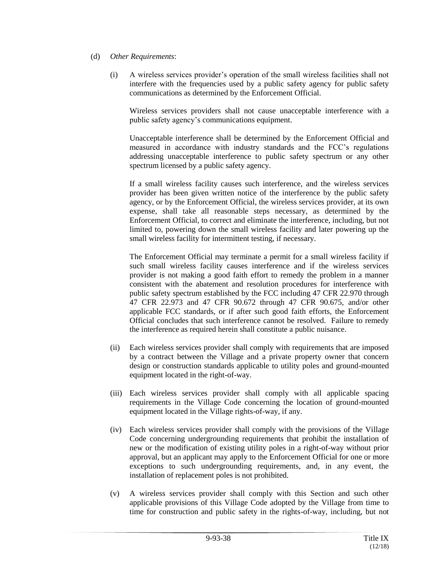- (d) *Other Requirements*:
	- (i) A wireless services provider's operation of the small wireless facilities shall not interfere with the frequencies used by a public safety agency for public safety communications as determined by the Enforcement Official.

Wireless services providers shall not cause unacceptable interference with a public safety agency's communications equipment.

Unacceptable interference shall be determined by the Enforcement Official and measured in accordance with industry standards and the FCC's regulations addressing unacceptable interference to public safety spectrum or any other spectrum licensed by a public safety agency.

If a small wireless facility causes such interference, and the wireless services provider has been given written notice of the interference by the public safety agency, or by the Enforcement Official, the wireless services provider, at its own expense, shall take all reasonable steps necessary, as determined by the Enforcement Official, to correct and eliminate the interference, including, but not limited to, powering down the small wireless facility and later powering up the small wireless facility for intermittent testing, if necessary.

The Enforcement Official may terminate a permit for a small wireless facility if such small wireless facility causes interference and if the wireless services provider is not making a good faith effort to remedy the problem in a manner consistent with the abatement and resolution procedures for interference with public safety spectrum established by the FCC including 47 CFR 22.970 through 47 CFR 22.973 and 47 CFR 90.672 through 47 CFR 90.675, and/or other applicable FCC standards, or if after such good faith efforts, the Enforcement Official concludes that such interference cannot be resolved. Failure to remedy the interference as required herein shall constitute a public nuisance.

- (ii) Each wireless services provider shall comply with requirements that are imposed by a contract between the Village and a private property owner that concern design or construction standards applicable to utility poles and ground-mounted equipment located in the right-of-way.
- (iii) Each wireless services provider shall comply with all applicable spacing requirements in the Village Code concerning the location of ground-mounted equipment located in the Village rights-of-way, if any.
- (iv) Each wireless services provider shall comply with the provisions of the Village Code concerning undergrounding requirements that prohibit the installation of new or the modification of existing utility poles in a right-of-way without prior approval, but an applicant may apply to the Enforcement Official for one or more exceptions to such undergrounding requirements, and, in any event, the installation of replacement poles is not prohibited.
- (v) A wireless services provider shall comply with this Section and such other applicable provisions of this Village Code adopted by the Village from time to time for construction and public safety in the rights-of-way, including, but not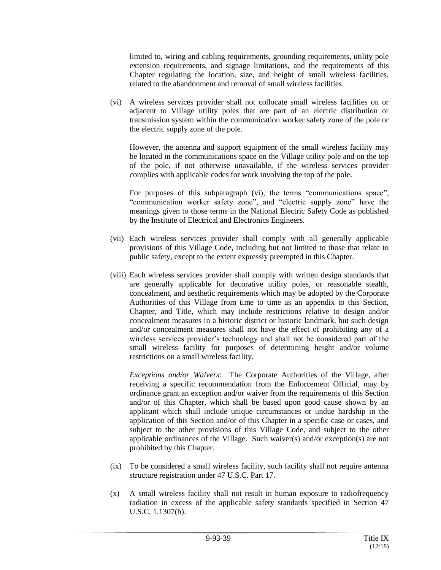limited to, wiring and cabling requirements, grounding requirements, utility pole extension requirements, and signage limitations, and the requirements of this Chapter regulating the location, size, and height of small wireless facilities, related to the abandonment and removal of small wireless facilities.

(vi) A wireless services provider shall not collocate small wireless facilities on or adjacent to Village utility poles that are part of an electric distribution or transmission system within the communication worker safety zone of the pole or the electric supply zone of the pole.

However, the antenna and support equipment of the small wireless facility may be located in the communications space on the Village utility pole and on the top of the pole, if not otherwise unavailable, if the wireless services provider complies with applicable codes for work involving the top of the pole.

For purposes of this subparagraph (vi), the terms "communications space", "communication worker safety zone", and "electric supply zone" have the meanings given to those terms in the National Electric Safety Code as published by the Institute of Electrical and Electronics Engineers.

- (vii) Each wireless services provider shall comply with all generally applicable provisions of this Village Code, including but not limited to those that relate to public safety, except to the extent expressly preempted in this Chapter.
- (viii) Each wireless services provider shall comply with written design standards that are generally applicable for decorative utility poles, or reasonable stealth, concealment, and aesthetic requirements which may be adopted by the Corporate Authorities of this Village from time to time as an appendix to this Section, Chapter, and Title, which may include restrictions relative to design and/or concealment measures in a historic district or historic landmark, but such design and/or concealment measures shall not have the effect of prohibiting any of a wireless services provider's technology and shall not be considered part of the small wireless facility for purposes of determining height and/or volume restrictions on a small wireless facility.

*Exceptions and/or Waivers*: The Corporate Authorities of the Village, after receiving a specific recommendation from the Enforcement Official, may by ordinance grant an exception and/or waiver from the requirements of this Section and/or of this Chapter, which shall be based upon good cause shown by an applicant which shall include unique circumstances or undue hardship in the application of this Section and/or of this Chapter in a specific case or cases, and subject to the other provisions of this Village Code, and subject to the other applicable ordinances of the Village. Such waiver(s) and/or exception(s) are not prohibited by this Chapter.

- (ix) To be considered a small wireless facility, such facility shall not require antenna structure registration under 47 U.S.C. Part 17.
- (x) A small wireless facility shall not result in human exposure to radiofrequency radiation in excess of the applicable safety standards specified in Section 47 U.S.C. 1.1307(b).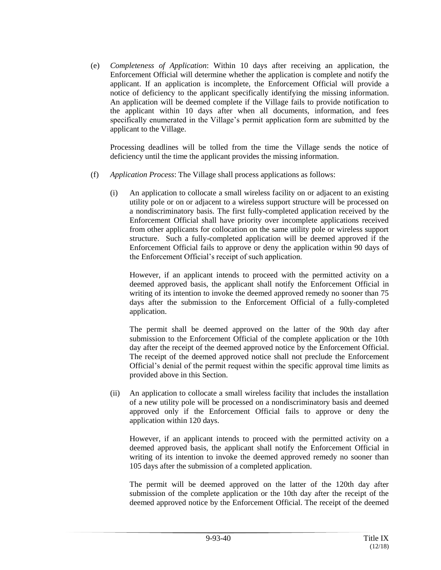(e) *Completeness of Application*: Within 10 days after receiving an application, the Enforcement Official will determine whether the application is complete and notify the applicant. If an application is incomplete, the Enforcement Official will provide a notice of deficiency to the applicant specifically identifying the missing information. An application will be deemed complete if the Village fails to provide notification to the applicant within 10 days after when all documents, information, and fees specifically enumerated in the Village's permit application form are submitted by the applicant to the Village.

Processing deadlines will be tolled from the time the Village sends the notice of deficiency until the time the applicant provides the missing information.

- (f) *Application Process*: The Village shall process applications as follows:
	- (i) An application to collocate a small wireless facility on or adjacent to an existing utility pole or on or adjacent to a wireless support structure will be processed on a nondiscriminatory basis. The first fully-completed application received by the Enforcement Official shall have priority over incomplete applications received from other applicants for collocation on the same utility pole or wireless support structure. Such a fully-completed application will be deemed approved if the Enforcement Official fails to approve or deny the application within 90 days of the Enforcement Official's receipt of such application.

However, if an applicant intends to proceed with the permitted activity on a deemed approved basis, the applicant shall notify the Enforcement Official in writing of its intention to invoke the deemed approved remedy no sooner than 75 days after the submission to the Enforcement Official of a fully-completed application.

The permit shall be deemed approved on the latter of the 90th day after submission to the Enforcement Official of the complete application or the 10th day after the receipt of the deemed approved notice by the Enforcement Official. The receipt of the deemed approved notice shall not preclude the Enforcement Official's denial of the permit request within the specific approval time limits as provided above in this Section.

(ii) An application to collocate a small wireless facility that includes the installation of a new utility pole will be processed on a nondiscriminatory basis and deemed approved only if the Enforcement Official fails to approve or deny the application within 120 days.

However, if an applicant intends to proceed with the permitted activity on a deemed approved basis, the applicant shall notify the Enforcement Official in writing of its intention to invoke the deemed approved remedy no sooner than 105 days after the submission of a completed application.

The permit will be deemed approved on the latter of the 120th day after submission of the complete application or the 10th day after the receipt of the deemed approved notice by the Enforcement Official. The receipt of the deemed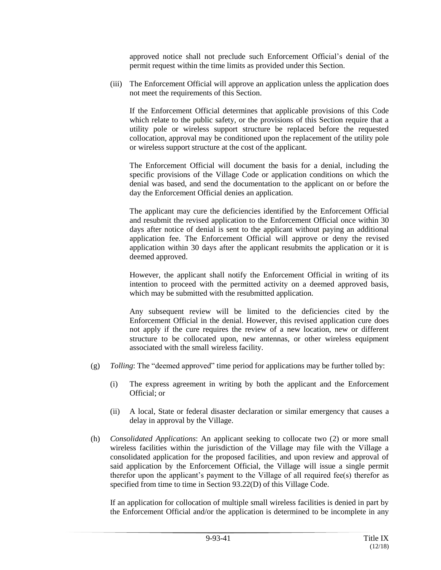approved notice shall not preclude such Enforcement Official's denial of the permit request within the time limits as provided under this Section.

(iii) The Enforcement Official will approve an application unless the application does not meet the requirements of this Section.

If the Enforcement Official determines that applicable provisions of this Code which relate to the public safety, or the provisions of this Section require that a utility pole or wireless support structure be replaced before the requested collocation, approval may be conditioned upon the replacement of the utility pole or wireless support structure at the cost of the applicant.

The Enforcement Official will document the basis for a denial, including the specific provisions of the Village Code or application conditions on which the denial was based, and send the documentation to the applicant on or before the day the Enforcement Official denies an application.

The applicant may cure the deficiencies identified by the Enforcement Official and resubmit the revised application to the Enforcement Official once within 30 days after notice of denial is sent to the applicant without paying an additional application fee. The Enforcement Official will approve or deny the revised application within 30 days after the applicant resubmits the application or it is deemed approved.

However, the applicant shall notify the Enforcement Official in writing of its intention to proceed with the permitted activity on a deemed approved basis, which may be submitted with the resubmitted application.

Any subsequent review will be limited to the deficiencies cited by the Enforcement Official in the denial. However, this revised application cure does not apply if the cure requires the review of a new location, new or different structure to be collocated upon, new antennas, or other wireless equipment associated with the small wireless facility.

- (g) *Tolling*: The "deemed approved" time period for applications may be further tolled by:
	- (i) The express agreement in writing by both the applicant and the Enforcement Official; or
	- (ii) A local, State or federal disaster declaration or similar emergency that causes a delay in approval by the Village.
- (h) *Consolidated Applications*: An applicant seeking to collocate two (2) or more small wireless facilities within the jurisdiction of the Village may file with the Village a consolidated application for the proposed facilities, and upon review and approval of said application by the Enforcement Official, the Village will issue a single permit therefor upon the applicant's payment to the Village of all required fee(s) therefor as specified from time to time in Section 93.22(D) of this Village Code.

If an application for collocation of multiple small wireless facilities is denied in part by the Enforcement Official and/or the application is determined to be incomplete in any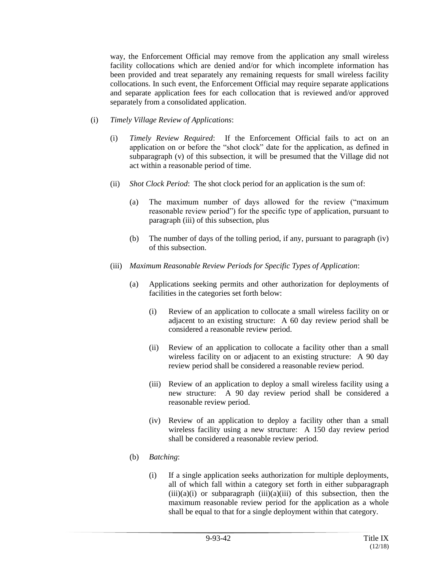way, the Enforcement Official may remove from the application any small wireless facility collocations which are denied and/or for which incomplete information has been provided and treat separately any remaining requests for small wireless facility collocations. In such event, the Enforcement Official may require separate applications and separate application fees for each collocation that is reviewed and/or approved separately from a consolidated application.

- (i) *Timely Village Review of Applications*:
	- (i) *Timely Review Required*: If the Enforcement Official fails to act on an application on or before the "shot clock" date for the application, as defined in subparagraph (v) of this subsection, it will be presumed that the Village did not act within a reasonable period of time.
	- (ii) *Shot Clock Period*: The shot clock period for an application is the sum of:
		- (a) The maximum number of days allowed for the review ("maximum reasonable review period") for the specific type of application, pursuant to paragraph (iii) of this subsection, plus
		- (b) The number of days of the tolling period, if any, pursuant to paragraph (iv) of this subsection.
	- (iii) *Maximum Reasonable Review Periods for Specific Types of Application*:
		- (a) Applications seeking permits and other authorization for deployments of facilities in the categories set forth below:
			- (i) Review of an application to collocate a small wireless facility on or adjacent to an existing structure: A 60 day review period shall be considered a reasonable review period.
			- (ii) Review of an application to collocate a facility other than a small wireless facility on or adjacent to an existing structure: A 90 day review period shall be considered a reasonable review period.
			- (iii) Review of an application to deploy a small wireless facility using a new structure: A 90 day review period shall be considered a reasonable review period.
			- (iv) Review of an application to deploy a facility other than a small wireless facility using a new structure: A 150 day review period shall be considered a reasonable review period.
		- (b) *Batching*:
			- (i) If a single application seeks authorization for multiple deployments, all of which fall within a category set forth in either subparagraph  $(iii)(a)(i)$  or subparagraph  $(iii)(a)(iii)$  of this subsection, then the maximum reasonable review period for the application as a whole shall be equal to that for a single deployment within that category.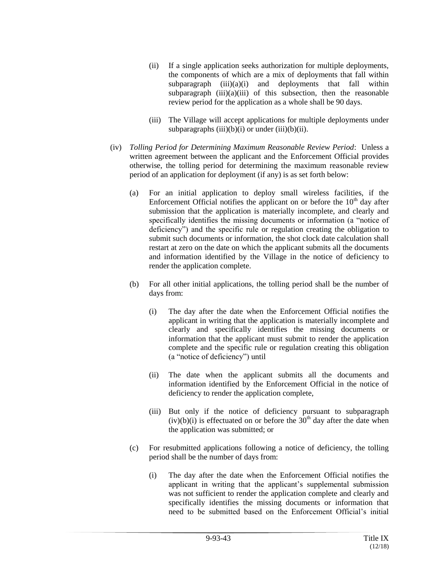- (ii) If a single application seeks authorization for multiple deployments, the components of which are a mix of deployments that fall within subparagraph  $(iii)(a)(i)$  and deployments that fall within subparagraph  $(iii)(a)(iii)$  of this subsection, then the reasonable review period for the application as a whole shall be 90 days.
- (iii) The Village will accept applications for multiple deployments under subparagraphs  $(iii)(b)(i)$  or under  $(iii)(b)(ii)$ .
- (iv) *Tolling Period for Determining Maximum Reasonable Review Period*: Unless a written agreement between the applicant and the Enforcement Official provides otherwise, the tolling period for determining the maximum reasonable review period of an application for deployment (if any) is as set forth below:
	- (a) For an initial application to deploy small wireless facilities, if the Enforcement Official notifies the applicant on or before the  $10<sup>th</sup>$  day after submission that the application is materially incomplete, and clearly and specifically identifies the missing documents or information (a "notice of deficiency") and the specific rule or regulation creating the obligation to submit such documents or information, the shot clock date calculation shall restart at zero on the date on which the applicant submits all the documents and information identified by the Village in the notice of deficiency to render the application complete.
	- (b) For all other initial applications, the tolling period shall be the number of days from:
		- (i) The day after the date when the Enforcement Official notifies the applicant in writing that the application is materially incomplete and clearly and specifically identifies the missing documents or information that the applicant must submit to render the application complete and the specific rule or regulation creating this obligation (a "notice of deficiency") until
		- (ii) The date when the applicant submits all the documents and information identified by the Enforcement Official in the notice of deficiency to render the application complete,
		- (iii) But only if the notice of deficiency pursuant to subparagraph  $(iv)(b)(i)$  is effectuated on or before the 30<sup>th</sup> day after the date when the application was submitted; or
	- (c) For resubmitted applications following a notice of deficiency, the tolling period shall be the number of days from:
		- (i) The day after the date when the Enforcement Official notifies the applicant in writing that the applicant's supplemental submission was not sufficient to render the application complete and clearly and specifically identifies the missing documents or information that need to be submitted based on the Enforcement Official's initial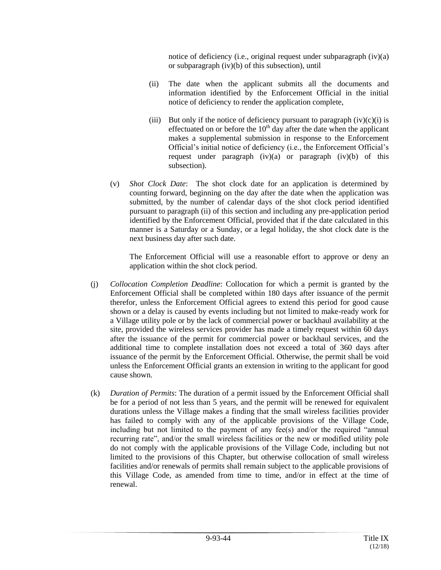notice of deficiency (i.e., original request under subparagraph (iv)(a) or subparagraph (iv)(b) of this subsection), until

- (ii) The date when the applicant submits all the documents and information identified by the Enforcement Official in the initial notice of deficiency to render the application complete,
- (iii) But only if the notice of deficiency pursuant to paragraph  $(iv)(c)(i)$  is effectuated on or before the  $10<sup>th</sup>$  day after the date when the applicant makes a supplemental submission in response to the Enforcement Official's initial notice of deficiency (i.e., the Enforcement Official's request under paragraph  $(iv)(a)$  or paragraph  $(iv)(b)$  of this subsection).
- (v) *Shot Clock Date*: The shot clock date for an application is determined by counting forward, beginning on the day after the date when the application was submitted, by the number of calendar days of the shot clock period identified pursuant to paragraph (ii) of this section and including any pre-application period identified by the Enforcement Official, provided that if the date calculated in this manner is a Saturday or a Sunday, or a legal holiday, the shot clock date is the next business day after such date.

The Enforcement Official will use a reasonable effort to approve or deny an application within the shot clock period.

- (j) *Collocation Completion Deadline*: Collocation for which a permit is granted by the Enforcement Official shall be completed within 180 days after issuance of the permit therefor, unless the Enforcement Official agrees to extend this period for good cause shown or a delay is caused by events including but not limited to make-ready work for a Village utility pole or by the lack of commercial power or backhaul availability at the site, provided the wireless services provider has made a timely request within 60 days after the issuance of the permit for commercial power or backhaul services, and the additional time to complete installation does not exceed a total of 360 days after issuance of the permit by the Enforcement Official. Otherwise, the permit shall be void unless the Enforcement Official grants an extension in writing to the applicant for good cause shown.
- (k) *Duration of Permits*: The duration of a permit issued by the Enforcement Official shall be for a period of not less than 5 years, and the permit will be renewed for equivalent durations unless the Village makes a finding that the small wireless facilities provider has failed to comply with any of the applicable provisions of the Village Code, including but not limited to the payment of any fee(s) and/or the required "annual recurring rate", and/or the small wireless facilities or the new or modified utility pole do not comply with the applicable provisions of the Village Code, including but not limited to the provisions of this Chapter, but otherwise collocation of small wireless facilities and/or renewals of permits shall remain subject to the applicable provisions of this Village Code, as amended from time to time, and/or in effect at the time of renewal.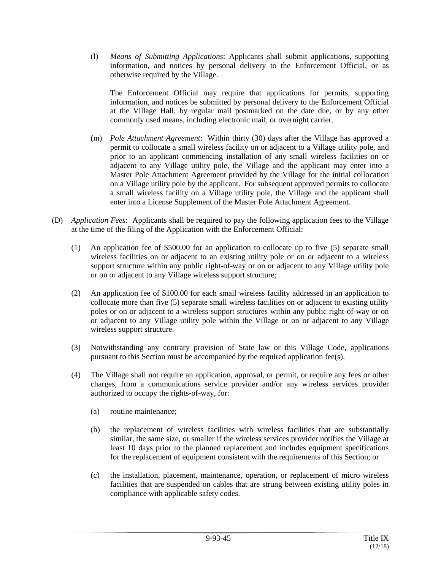(l) *Means of Submitting Applications*: Applicants shall submit applications, supporting information, and notices by personal delivery to the Enforcement Official, or as otherwise required by the Village.

The Enforcement Official may require that applications for permits, supporting information, and notices be submitted by personal delivery to the Enforcement Official at the Village Hall, by regular mail postmarked on the date due, or by any other commonly used means, including electronic mail, or overnight carrier.

- (m) *Pole Attachment Agreement*: Within thirty (30) days after the Village has approved a permit to collocate a small wireless facility on or adjacent to a Village utility pole, and prior to an applicant commencing installation of any small wireless facilities on or adjacent to any Village utility pole, the Village and the applicant may enter into a Master Pole Attachment Agreement provided by the Village for the initial collocation on a Village utility pole by the applicant. For subsequent approved permits to collocate a small wireless facility on a Village utility pole, the Village and the applicant shall enter into a License Supplement of the Master Pole Attachment Agreement.
- (D) *Application Fees*: Applicants shall be required to pay the following application fees to the Village at the time of the filing of the Application with the Enforcement Official:
	- (1) An application fee of \$500.00 for an application to collocate up to five (5) separate small wireless facilities on or adjacent to an existing utility pole or on or adjacent to a wireless support structure within any public right-of-way or on or adjacent to any Village utility pole or on or adjacent to any Village wireless support structure;
	- (2) An application fee of \$100.00 for each small wireless facility addressed in an application to collocate more than five (5) separate small wireless facilities on or adjacent to existing utility poles or on or adjacent to a wireless support structures within any public right-of-way or on or adjacent to any Village utility pole within the Village or on or adjacent to any Village wireless support structure.
	- (3) Notwithstanding any contrary provision of State law or this Village Code, applications pursuant to this Section must be accompanied by the required application fee(s).
	- (4) The Village shall not require an application, approval, or permit, or require any fees or other charges, from a communications service provider and/or any wireless services provider authorized to occupy the rights-of-way, for:
		- (a) routine maintenance;
		- (b) the replacement of wireless facilities with wireless facilities that are substantially similar, the same size, or smaller if the wireless services provider notifies the Village at least 10 days prior to the planned replacement and includes equipment specifications for the replacement of equipment consistent with the requirements of this Section; or
		- (c) the installation, placement, maintenance, operation, or replacement of micro wireless facilities that are suspended on cables that are strung between existing utility poles in compliance with applicable safety codes.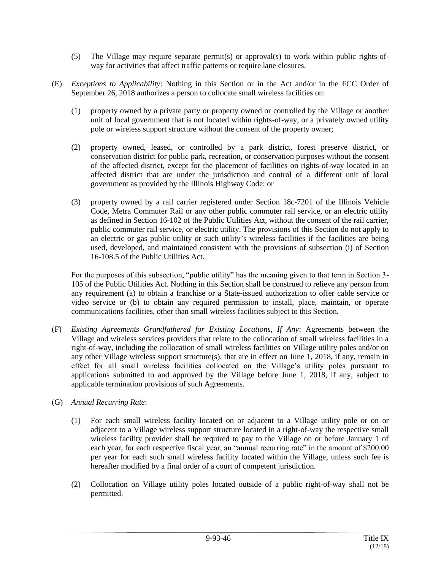- (5) The Village may require separate permit(s) or approval(s) to work within public rights-ofway for activities that affect traffic patterns or require lane closures.
- (E) *Exceptions to Applicability*: Nothing in this Section or in the Act and/or in the FCC Order of September 26, 2018 authorizes a person to collocate small wireless facilities on:
	- (1) property owned by a private party or property owned or controlled by the Village or another unit of local government that is not located within rights-of-way, or a privately owned utility pole or wireless support structure without the consent of the property owner;
	- (2) property owned, leased, or controlled by a park district, forest preserve district, or conservation district for public park, recreation, or conservation purposes without the consent of the affected district, except for the placement of facilities on rights-of-way located in an affected district that are under the jurisdiction and control of a different unit of local government as provided by the Illinois Highway Code; or
	- (3) property owned by a rail carrier registered under Section 18c-7201 of the Illinois Vehicle Code, Metra Commuter Rail or any other public commuter rail service, or an electric utility as defined in Section 16-102 of the Public Utilities Act, without the consent of the rail carrier, public commuter rail service, or electric utility. The provisions of this Section do not apply to an electric or gas public utility or such utility's wireless facilities if the facilities are being used, developed, and maintained consistent with the provisions of subsection (i) of Section 16-108.5 of the Public Utilities Act.

For the purposes of this subsection, "public utility" has the meaning given to that term in Section 3- 105 of the Public Utilities Act. Nothing in this Section shall be construed to relieve any person from any requirement (a) to obtain a franchise or a State-issued authorization to offer cable service or video service or (b) to obtain any required permission to install, place, maintain, or operate communications facilities, other than small wireless facilities subject to this Section.

- (F) *Existing Agreements Grandfathered for Existing Locations, If Any*: Agreements between the Village and wireless services providers that relate to the collocation of small wireless facilities in a right-of-way, including the collocation of small wireless facilities on Village utility poles and/or on any other Village wireless support structure(s), that are in effect on June 1, 2018, if any, remain in effect for all small wireless facilities collocated on the Village's utility poles pursuant to applications submitted to and approved by the Village before June 1, 2018, if any, subject to applicable termination provisions of such Agreements.
- (G) *Annual Recurring Rate*:
	- (1) For each small wireless facility located on or adjacent to a Village utility pole or on or adjacent to a Village wireless support structure located in a right-of-way the respective small wireless facility provider shall be required to pay to the Village on or before January 1 of each year, for each respective fiscal year, an "annual recurring rate" in the amount of \$200.00 per year for each such small wireless facility located within the Village, unless such fee is hereafter modified by a final order of a court of competent jurisdiction.
	- (2) Collocation on Village utility poles located outside of a public right-of-way shall not be permitted.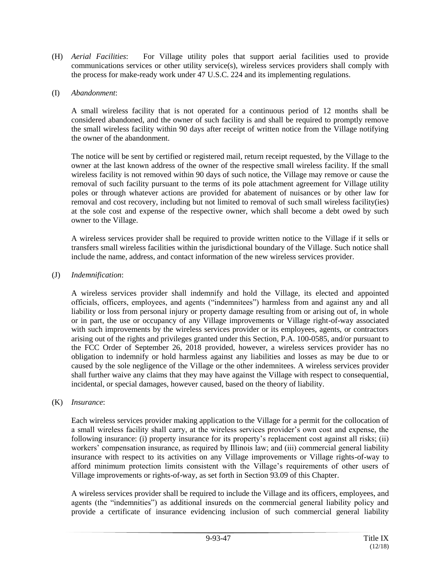- (H) *Aerial Facilities*: For Village utility poles that support aerial facilities used to provide communications services or other utility service(s), wireless services providers shall comply with the process for make-ready work under 47 U.S.C. 224 and its implementing regulations.
- (I) *Abandonment*:

A small wireless facility that is not operated for a continuous period of 12 months shall be considered abandoned, and the owner of such facility is and shall be required to promptly remove the small wireless facility within 90 days after receipt of written notice from the Village notifying the owner of the abandonment.

The notice will be sent by certified or registered mail, return receipt requested, by the Village to the owner at the last known address of the owner of the respective small wireless facility. If the small wireless facility is not removed within 90 days of such notice, the Village may remove or cause the removal of such facility pursuant to the terms of its pole attachment agreement for Village utility poles or through whatever actions are provided for abatement of nuisances or by other law for removal and cost recovery, including but not limited to removal of such small wireless facility(ies) at the sole cost and expense of the respective owner, which shall become a debt owed by such owner to the Village.

A wireless services provider shall be required to provide written notice to the Village if it sells or transfers small wireless facilities within the jurisdictional boundary of the Village. Such notice shall include the name, address, and contact information of the new wireless services provider.

## (J) *Indemnification*:

A wireless services provider shall indemnify and hold the Village, its elected and appointed officials, officers, employees, and agents ("indemnitees") harmless from and against any and all liability or loss from personal injury or property damage resulting from or arising out of, in whole or in part, the use or occupancy of any Village improvements or Village right-of-way associated with such improvements by the wireless services provider or its employees, agents, or contractors arising out of the rights and privileges granted under this Section, P.A. 100-0585, and/or pursuant to the FCC Order of September 26, 2018 provided, however, a wireless services provider has no obligation to indemnify or hold harmless against any liabilities and losses as may be due to or caused by the sole negligence of the Village or the other indemnitees. A wireless services provider shall further waive any claims that they may have against the Village with respect to consequential, incidental, or special damages, however caused, based on the theory of liability.

## (K) *Insurance*:

Each wireless services provider making application to the Village for a permit for the collocation of a small wireless facility shall carry, at the wireless services provider's own cost and expense, the following insurance: (i) property insurance for its property's replacement cost against all risks; (ii) workers' compensation insurance, as required by Illinois law; and (iii) commercial general liability insurance with respect to its activities on any Village improvements or Village rights-of-way to afford minimum protection limits consistent with the Village's requirements of other users of Village improvements or rights-of-way, as set forth in Section 93.09 of this Chapter.

A wireless services provider shall be required to include the Village and its officers, employees, and agents (the "indemnities") as additional insureds on the commercial general liability policy and provide a certificate of insurance evidencing inclusion of such commercial general liability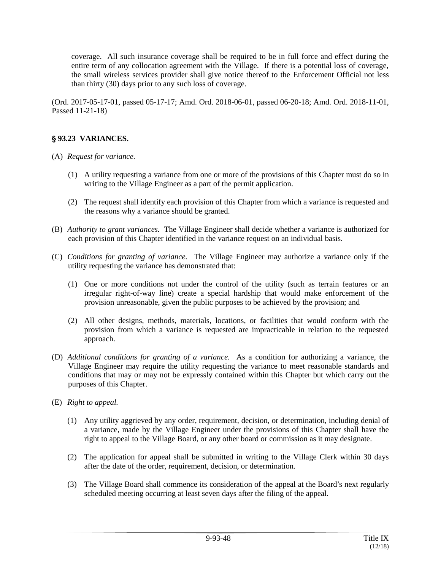coverage. All such insurance coverage shall be required to be in full force and effect during the entire term of any collocation agreement with the Village. If there is a potential loss of coverage, the small wireless services provider shall give notice thereof to the Enforcement Official not less than thirty (30) days prior to any such loss of coverage.

(Ord. 2017-05-17-01, passed 05-17-17; Amd. Ord. 2018-06-01, passed 06-20-18; Amd. Ord. 2018-11-01, Passed 11-21-18)

# ' **93.23 VARIANCES.**

- (A) *Request for variance.*
	- (1) A utility requesting a variance from one or more of the provisions of this Chapter must do so in writing to the Village Engineer as a part of the permit application.
	- (2) The request shall identify each provision of this Chapter from which a variance is requested and the reasons why a variance should be granted.
- (B) *Authority to grant variances.* The Village Engineer shall decide whether a variance is authorized for each provision of this Chapter identified in the variance request on an individual basis.
- (C) *Conditions for granting of variance.* The Village Engineer may authorize a variance only if the utility requesting the variance has demonstrated that:
	- (1) One or more conditions not under the control of the utility (such as terrain features or an irregular right-of-way line) create a special hardship that would make enforcement of the provision unreasonable, given the public purposes to be achieved by the provision; and
	- (2) All other designs, methods, materials, locations, or facilities that would conform with the provision from which a variance is requested are impracticable in relation to the requested approach.
- (D) *Additional conditions for granting of a variance.* As a condition for authorizing a variance, the Village Engineer may require the utility requesting the variance to meet reasonable standards and conditions that may or may not be expressly contained within this Chapter but which carry out the purposes of this Chapter.
- (E) *Right to appeal.*
	- (1) Any utility aggrieved by any order, requirement, decision, or determination, including denial of a variance, made by the Village Engineer under the provisions of this Chapter shall have the right to appeal to the Village Board, or any other board or commission as it may designate.
	- (2) The application for appeal shall be submitted in writing to the Village Clerk within 30 days after the date of the order, requirement, decision, or determination.
	- (3) The Village Board shall commence its consideration of the appeal at the Board's next regularly scheduled meeting occurring at least seven days after the filing of the appeal.